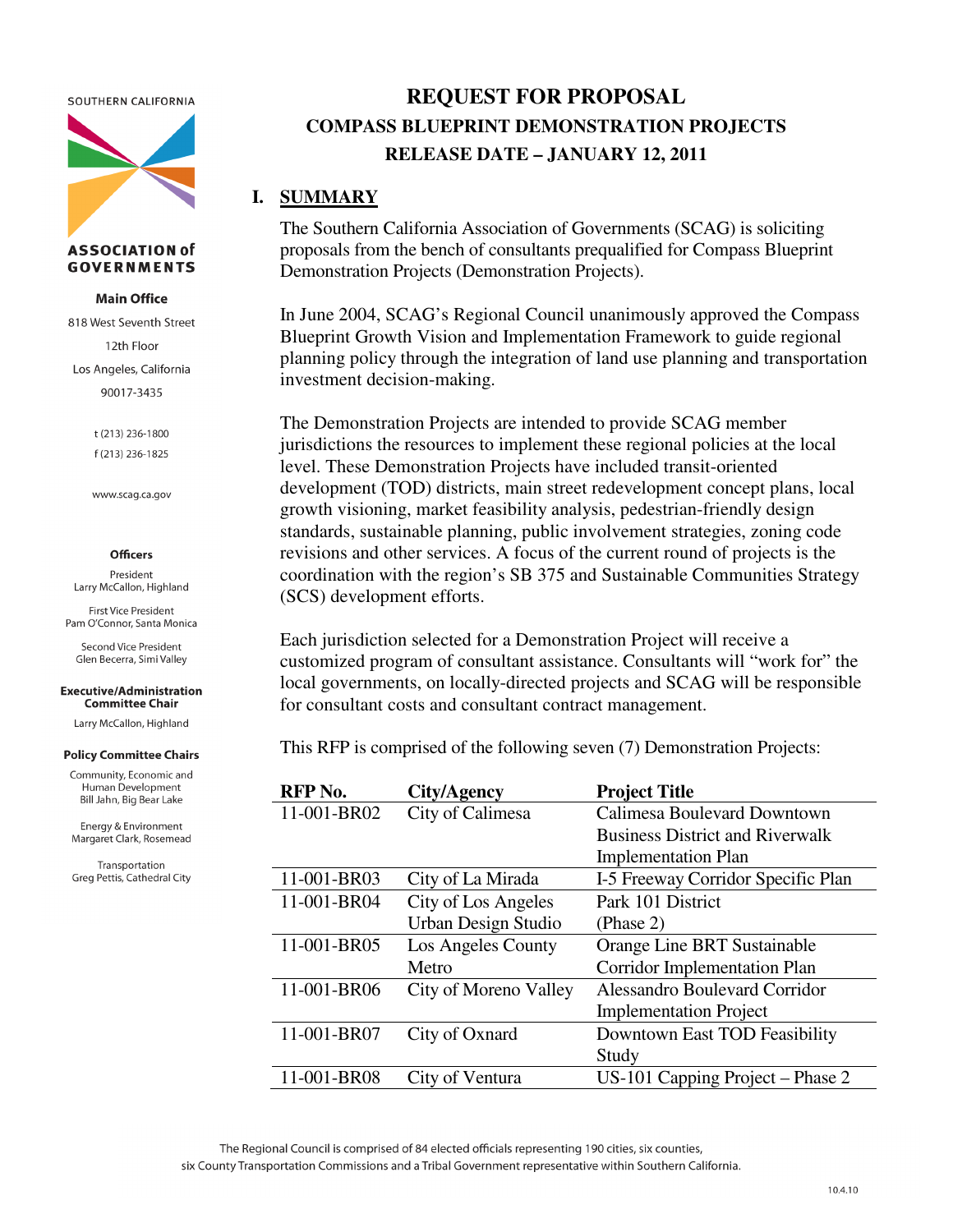SOUTHERN CALIFORNIA



#### **ASSOCIATION of GOVERNMENTS**

**Main Office** 

818 West Seventh Street 12th Floor Los Angeles, California 90017-3435

> t (213) 236-1800 f (213) 236-1825

www.scag.ca.gov

#### **Officers**

President Larry McCallon, Highland

First Vice President Pam O'Connor, Santa Monica

Second Vice President Glen Becerra, Simi Valley

#### **Executive/Administration Committee Chair**

Larry McCallon, Highland

#### **Policy Committee Chairs**

Community, Economic and Human Development Bill Jahn, Big Bear Lake

Energy & Environment Margaret Clark, Rosemead

Transportation Greg Pettis, Cathedral City

# **REQUEST FOR PROPOSAL COMPASS BLUEPRINT DEMONSTRATION PROJECTS RELEASE DATE – JANUARY 12, 2011**

### **I. SUMMARY**

The Southern California Association of Governments (SCAG) is soliciting proposals from the bench of consultants prequalified for Compass Blueprint Demonstration Projects (Demonstration Projects).

In June 2004, SCAG's Regional Council unanimously approved the Compass Blueprint Growth Vision and Implementation Framework to guide regional planning policy through the integration of land use planning and transportation investment decision-making.

The Demonstration Projects are intended to provide SCAG member jurisdictions the resources to implement these regional policies at the local level. These Demonstration Projects have included transit-oriented development (TOD) districts, main street redevelopment concept plans, local growth visioning, market feasibility analysis, pedestrian-friendly design standards, sustainable planning, public involvement strategies, zoning code revisions and other services. A focus of the current round of projects is the coordination with the region's SB 375 and Sustainable Communities Strategy (SCS) development efforts.

Each jurisdiction selected for a Demonstration Project will receive a customized program of consultant assistance. Consultants will "work for" the local governments, on locally-directed projects and SCAG will be responsible for consultant costs and consultant contract management.

This RFP is comprised of the following seven (7) Demonstration Projects:

| RFP No.     | City/Agency                | <b>Project Title</b>                   |
|-------------|----------------------------|----------------------------------------|
| 11-001-BR02 | City of Calimesa           | <b>Calimesa Boulevard Downtown</b>     |
|             |                            | <b>Business District and Riverwalk</b> |
|             |                            | <b>Implementation Plan</b>             |
| 11-001-BR03 | City of La Mirada          | I-5 Freeway Corridor Specific Plan     |
| 11-001-BR04 | City of Los Angeles        | Park 101 District                      |
|             | <b>Urban Design Studio</b> | (Phase 2)                              |
| 11-001-BR05 | Los Angeles County         | Orange Line BRT Sustainable            |
|             | Metro                      | <b>Corridor Implementation Plan</b>    |
| 11-001-BR06 | City of Moreno Valley      | <b>Alessandro Boulevard Corridor</b>   |
|             |                            | <b>Implementation Project</b>          |
| 11-001-BR07 | City of Oxnard             | Downtown East TOD Feasibility          |
|             |                            | Study                                  |
| 11-001-BR08 | City of Ventura            | US-101 Capping Project - Phase 2       |

The Regional Council is comprised of 84 elected officials representing 190 cities, six counties,

six County Transportation Commissions and a Tribal Government representative within Southern California.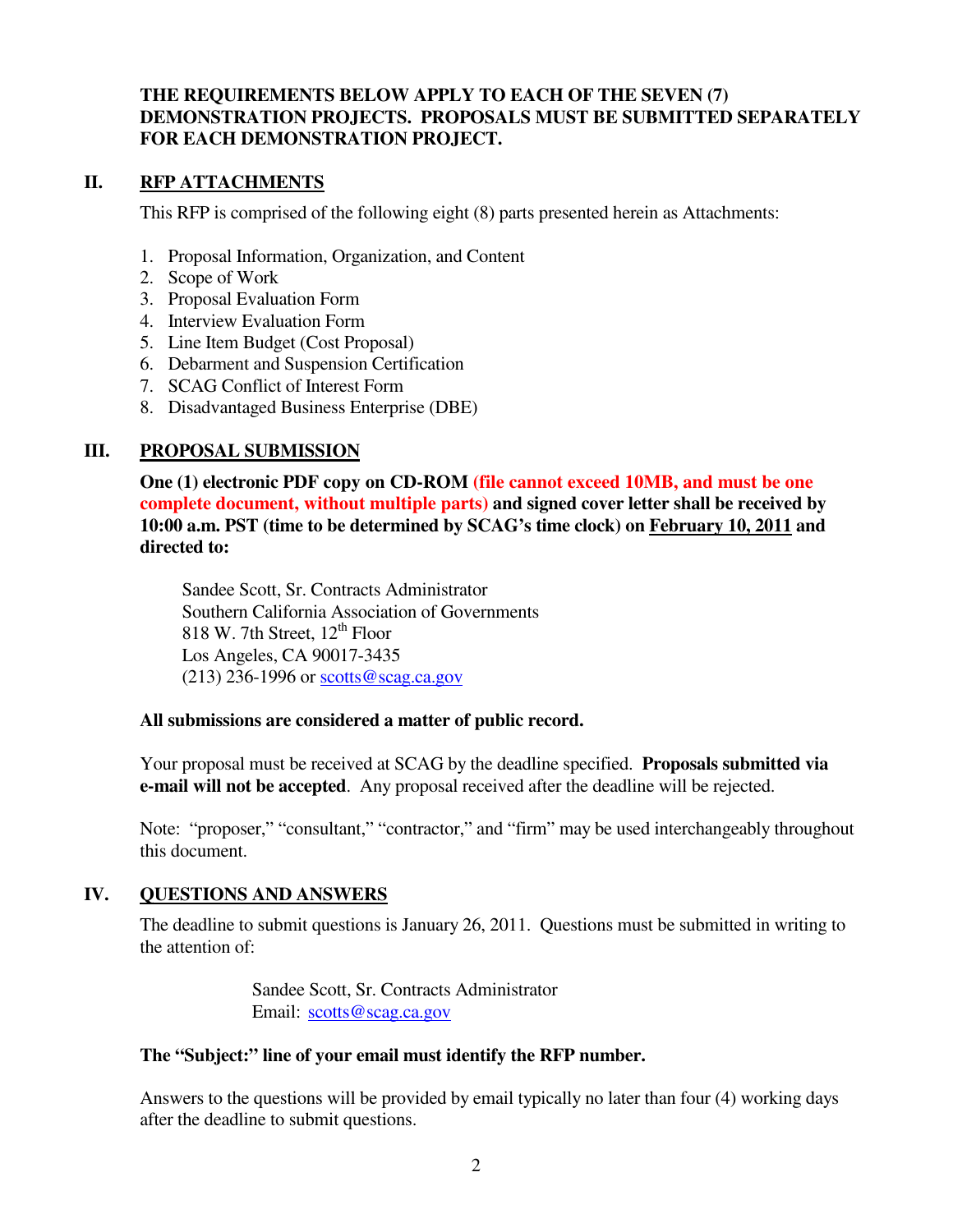# **THE REQUIREMENTS BELOW APPLY TO EACH OF THE SEVEN (7) DEMONSTRATION PROJECTS. PROPOSALS MUST BE SUBMITTED SEPARATELY FOR EACH DEMONSTRATION PROJECT.**

### **II. RFP ATTACHMENTS**

This RFP is comprised of the following eight (8) parts presented herein as Attachments:

- 1. Proposal Information, Organization, and Content
- 2. Scope of Work
- 3. Proposal Evaluation Form
- 4. Interview Evaluation Form
- 5. Line Item Budget (Cost Proposal)
- 6. Debarment and Suspension Certification
- 7. SCAG Conflict of Interest Form
- 8. Disadvantaged Business Enterprise (DBE)

# **III. PROPOSAL SUBMISSION**

**One (1) electronic PDF copy on CD-ROM (file cannot exceed 10MB, and must be one complete document, without multiple parts) and signed cover letter shall be received by 10:00 a.m. PST (time to be determined by SCAG's time clock) on February 10, 2011 and directed to:** 

Sandee Scott, Sr. Contracts Administrator Southern California Association of Governments 818 W. 7th Street,  $12^{th}$  Floor Los Angeles, CA 90017-3435  $(213)$  236-1996 or scotts@scag.ca.gov

# **All submissions are considered a matter of public record.**

Your proposal must be received at SCAG by the deadline specified. **Proposals submitted via e-mail will not be accepted**. Any proposal received after the deadline will be rejected.

Note: "proposer," "consultant," "contractor," and "firm" may be used interchangeably throughout this document.

# **IV. QUESTIONS AND ANSWERS**

The deadline to submit questions is January 26, 2011. Questions must be submitted in writing to the attention of:

> Sandee Scott, Sr. Contracts Administrator Email: scotts@scag.ca.gov

# **The "Subject:" line of your email must identify the RFP number.**

Answers to the questions will be provided by email typically no later than four (4) working days after the deadline to submit questions.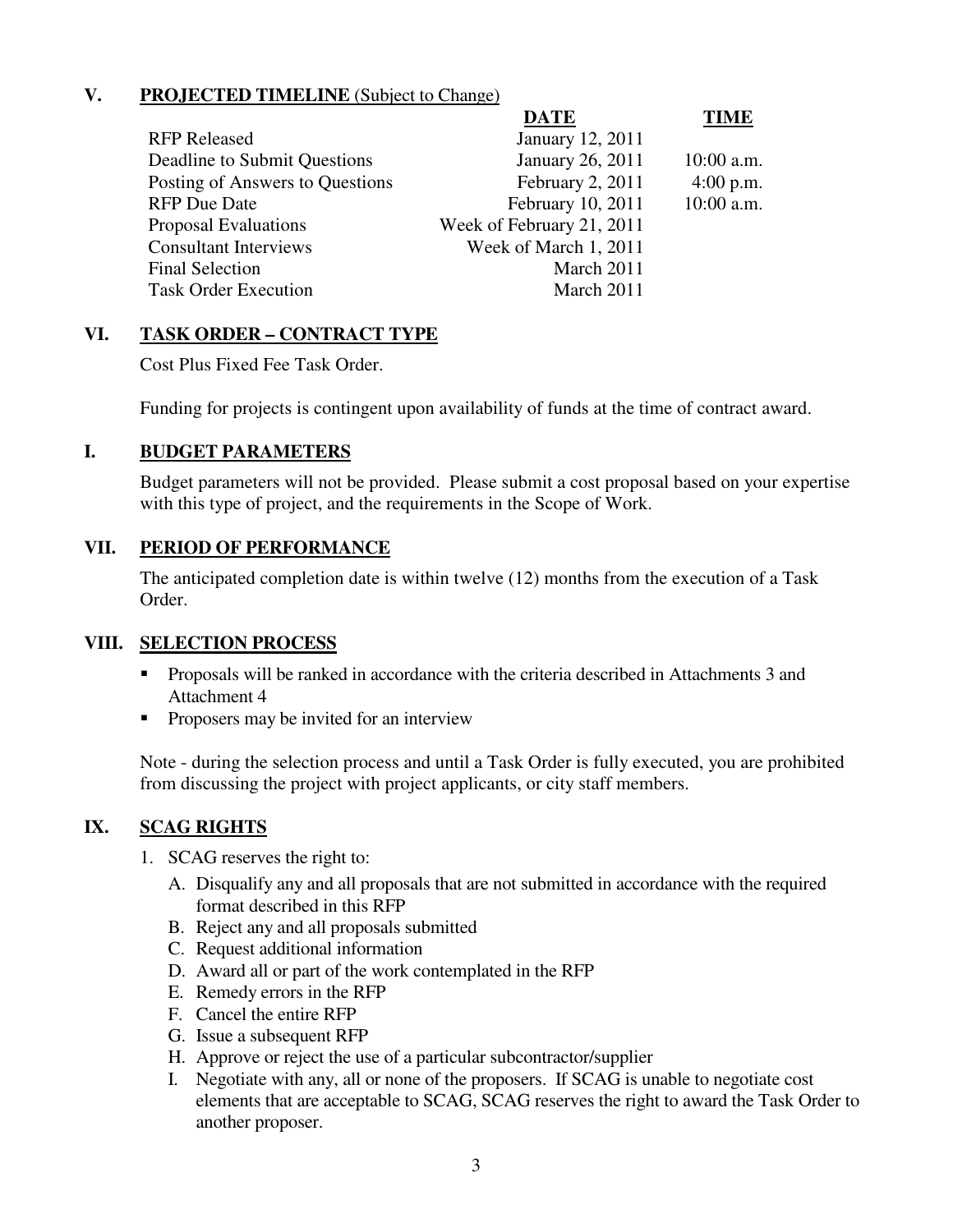# **V. PROJECTED TIMELINE** (Subject to Change)

| <b>DATE</b>               | <b>TIME</b>  |
|---------------------------|--------------|
| January 12, 2011          |              |
| January 26, 2011          | $10:00$ a.m. |
| February 2, 2011          | $4:00$ p.m.  |
| February 10, 2011         | $10:00$ a.m. |
| Week of February 21, 2011 |              |
| Week of March 1, 2011     |              |
| March 2011                |              |
| March 2011                |              |
|                           |              |

# **VI. TASK ORDER – CONTRACT TYPE**

Cost Plus Fixed Fee Task Order.

Funding for projects is contingent upon availability of funds at the time of contract award.

### **I. BUDGET PARAMETERS**

Budget parameters will not be provided. Please submit a cost proposal based on your expertise with this type of project, and the requirements in the Scope of Work.

### **VII. PERIOD OF PERFORMANCE**

The anticipated completion date is within twelve (12) months from the execution of a Task Order.

#### **VIII. SELECTION PROCESS**

- **Proposals will be ranked in accordance with the criteria described in Attachments 3 and** Attachment 4
- **•** Proposers may be invited for an interview

Note - during the selection process and until a Task Order is fully executed, you are prohibited from discussing the project with project applicants, or city staff members.

# **IX. SCAG RIGHTS**

- 1. SCAG reserves the right to:
	- A. Disqualify any and all proposals that are not submitted in accordance with the required format described in this RFP
	- B. Reject any and all proposals submitted
	- C. Request additional information
	- D. Award all or part of the work contemplated in the RFP
	- E. Remedy errors in the RFP
	- F. Cancel the entire RFP
	- G. Issue a subsequent RFP
	- H. Approve or reject the use of a particular subcontractor/supplier
	- I. Negotiate with any, all or none of the proposers. If SCAG is unable to negotiate cost elements that are acceptable to SCAG, SCAG reserves the right to award the Task Order to another proposer.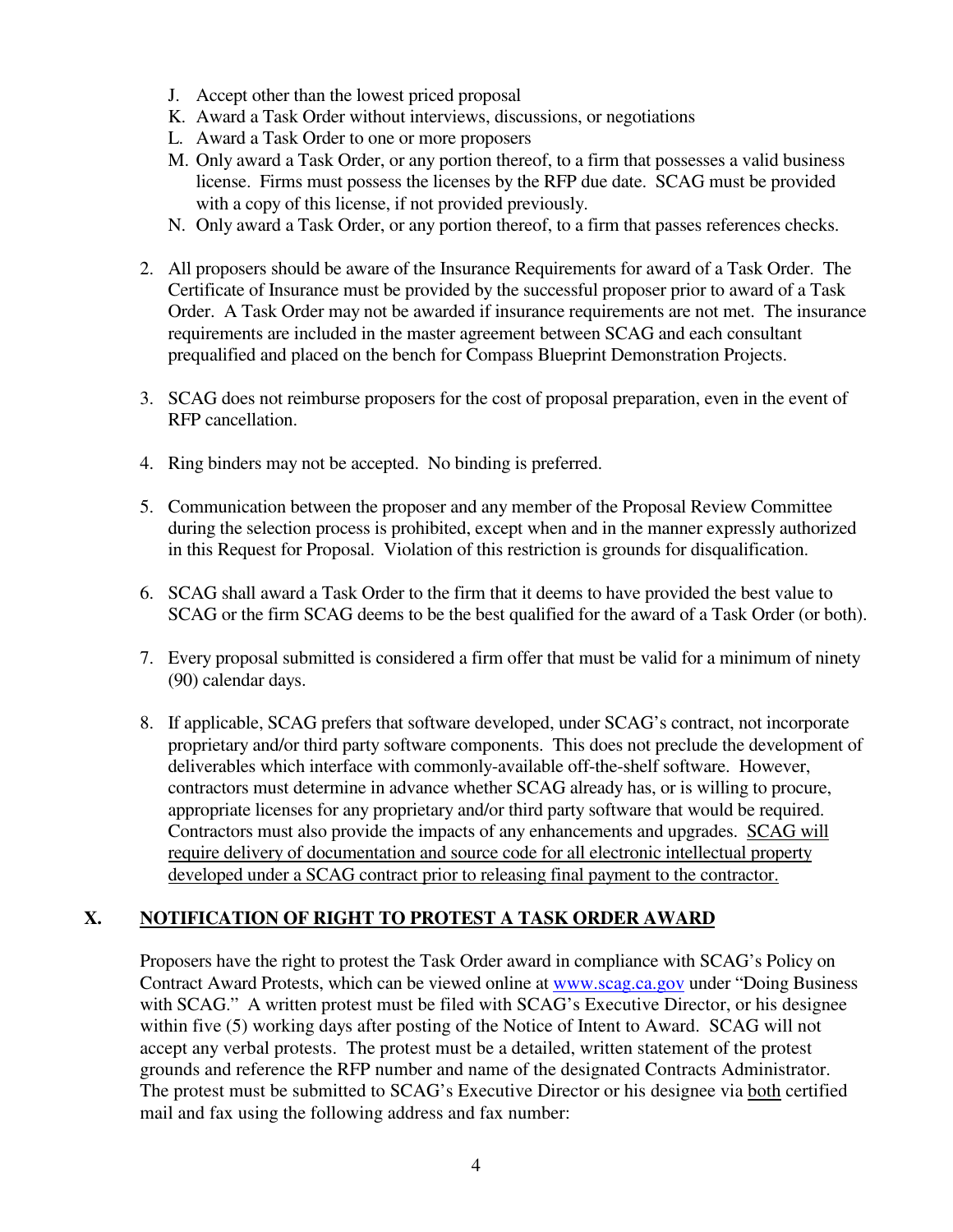- J. Accept other than the lowest priced proposal
- K. Award a Task Order without interviews, discussions, or negotiations
- L. Award a Task Order to one or more proposers
- M. Only award a Task Order, or any portion thereof, to a firm that possesses a valid business license. Firms must possess the licenses by the RFP due date. SCAG must be provided with a copy of this license, if not provided previously.
- N. Only award a Task Order, or any portion thereof, to a firm that passes references checks.
- 2. All proposers should be aware of the Insurance Requirements for award of a Task Order. The Certificate of Insurance must be provided by the successful proposer prior to award of a Task Order. A Task Order may not be awarded if insurance requirements are not met. The insurance requirements are included in the master agreement between SCAG and each consultant prequalified and placed on the bench for Compass Blueprint Demonstration Projects.
- 3. SCAG does not reimburse proposers for the cost of proposal preparation, even in the event of RFP cancellation.
- 4. Ring binders may not be accepted. No binding is preferred.
- 5. Communication between the proposer and any member of the Proposal Review Committee during the selection process is prohibited, except when and in the manner expressly authorized in this Request for Proposal. Violation of this restriction is grounds for disqualification.
- 6. SCAG shall award a Task Order to the firm that it deems to have provided the best value to SCAG or the firm SCAG deems to be the best qualified for the award of a Task Order (or both).
- 7. Every proposal submitted is considered a firm offer that must be valid for a minimum of ninety (90) calendar days.
- 8. If applicable, SCAG prefers that software developed, under SCAG's contract, not incorporate proprietary and/or third party software components. This does not preclude the development of deliverables which interface with commonly-available off-the-shelf software. However, contractors must determine in advance whether SCAG already has, or is willing to procure, appropriate licenses for any proprietary and/or third party software that would be required. Contractors must also provide the impacts of any enhancements and upgrades. SCAG will require delivery of documentation and source code for all electronic intellectual property developed under a SCAG contract prior to releasing final payment to the contractor.

# **X. NOTIFICATION OF RIGHT TO PROTEST A TASK ORDER AWARD**

Proposers have the right to protest the Task Order award in compliance with SCAG's Policy on Contract Award Protests, which can be viewed online at www.scag.ca.gov under "Doing Business with SCAG." A written protest must be filed with SCAG's Executive Director, or his designee within five (5) working days after posting of the Notice of Intent to Award. SCAG will not accept any verbal protests. The protest must be a detailed, written statement of the protest grounds and reference the RFP number and name of the designated Contracts Administrator. The protest must be submitted to SCAG's Executive Director or his designee via both certified mail and fax using the following address and fax number: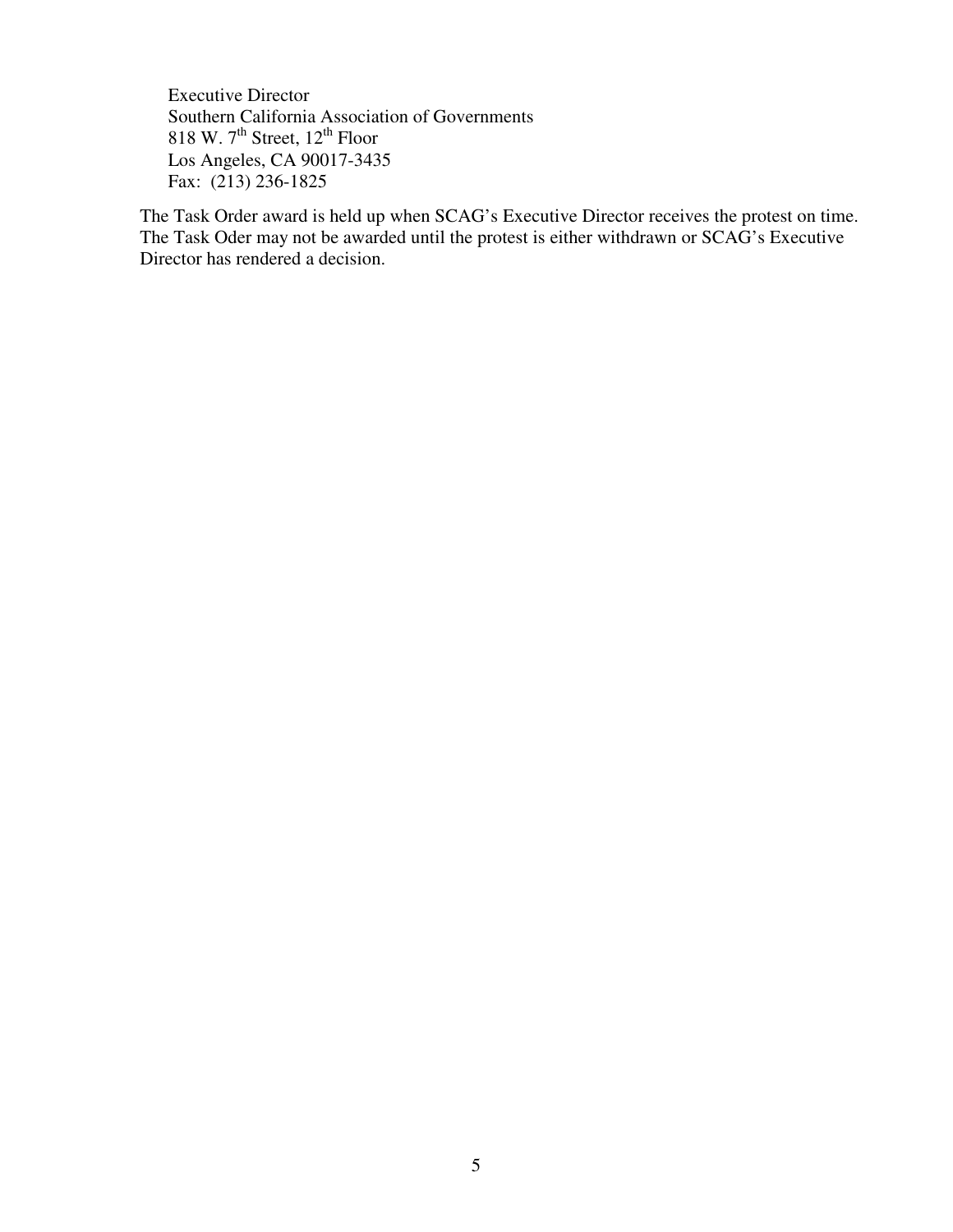Executive Director Southern California Association of Governments 818 W.  $7<sup>th</sup>$  Street,  $12<sup>th</sup>$  Floor Los Angeles, CA 90017-3435 Fax: (213) 236-1825

The Task Order award is held up when SCAG's Executive Director receives the protest on time. The Task Oder may not be awarded until the protest is either withdrawn or SCAG's Executive Director has rendered a decision.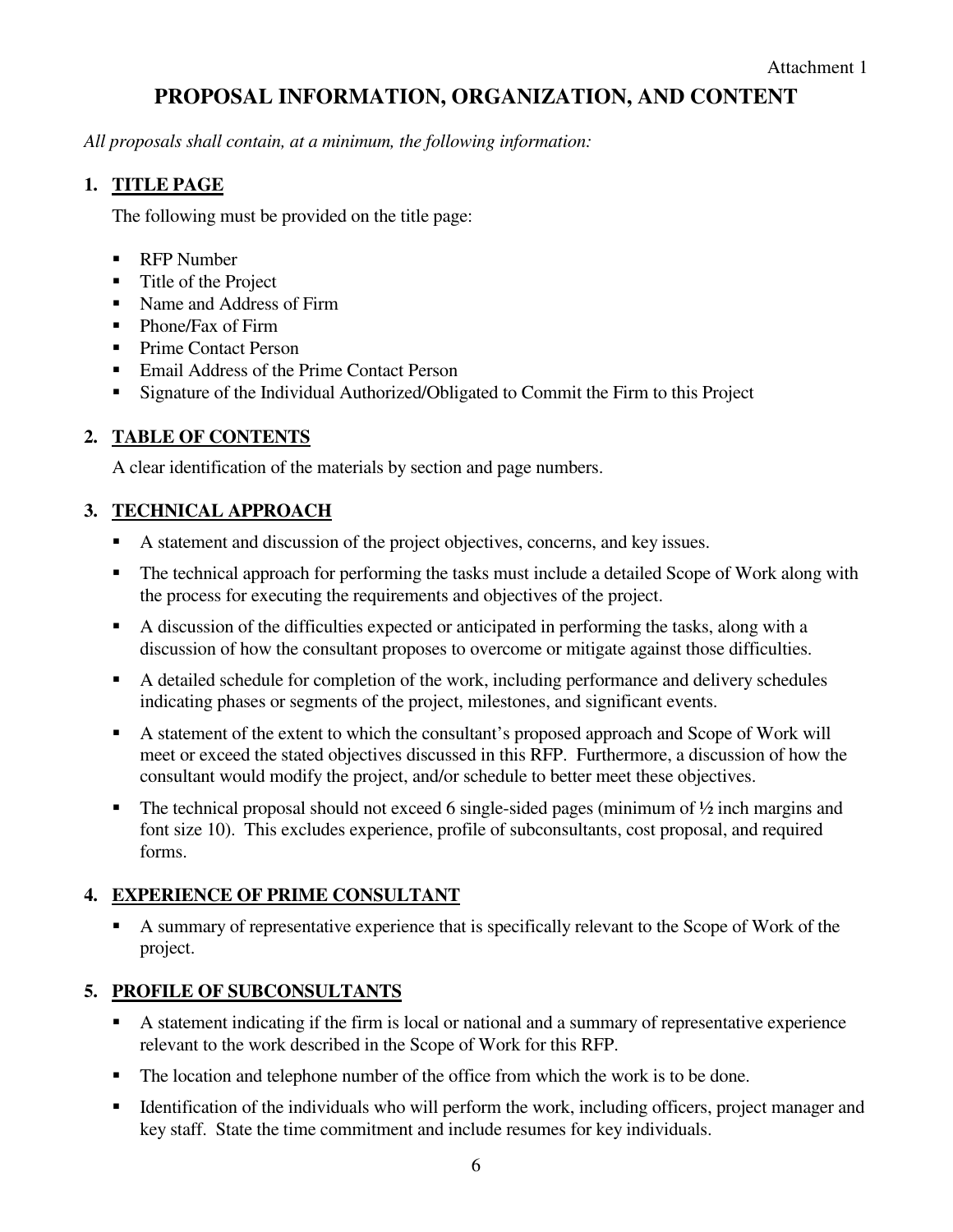# **PROPOSAL INFORMATION, ORGANIZATION, AND CONTENT**

*All proposals shall contain, at a minimum, the following information:* 

# **1. TITLE PAGE**

The following must be provided on the title page:

- **RFP** Number
- Title of the Project
- Kame and Address of Firm
- Phone/Fax of Firm
- **Prime Contact Person**
- Email Address of the Prime Contact Person
- **Signature of the Individual Authorized/Obligated to Commit the Firm to this Project**

# **2. TABLE OF CONTENTS**

A clear identification of the materials by section and page numbers.

# **3. TECHNICAL APPROACH**

- A statement and discussion of the project objectives, concerns, and key issues.
- The technical approach for performing the tasks must include a detailed Scope of Work along with the process for executing the requirements and objectives of the project.
- A discussion of the difficulties expected or anticipated in performing the tasks, along with a discussion of how the consultant proposes to overcome or mitigate against those difficulties.
- A detailed schedule for completion of the work, including performance and delivery schedules indicating phases or segments of the project, milestones, and significant events.
- A statement of the extent to which the consultant's proposed approach and Scope of Work will meet or exceed the stated objectives discussed in this RFP. Furthermore, a discussion of how the consultant would modify the project, and/or schedule to better meet these objectives.
- The technical proposal should not exceed 6 single-sided pages (minimum of  $\frac{1}{2}$  inch margins and font size 10). This excludes experience, profile of subconsultants, cost proposal, and required forms.

# **4. EXPERIENCE OF PRIME CONSULTANT**

 A summary of representative experience that is specifically relevant to the Scope of Work of the project.

# **5. PROFILE OF SUBCONSULTANTS**

- A statement indicating if the firm is local or national and a summary of representative experience relevant to the work described in the Scope of Work for this RFP.
- The location and telephone number of the office from which the work is to be done.
- Identification of the individuals who will perform the work, including officers, project manager and key staff. State the time commitment and include resumes for key individuals.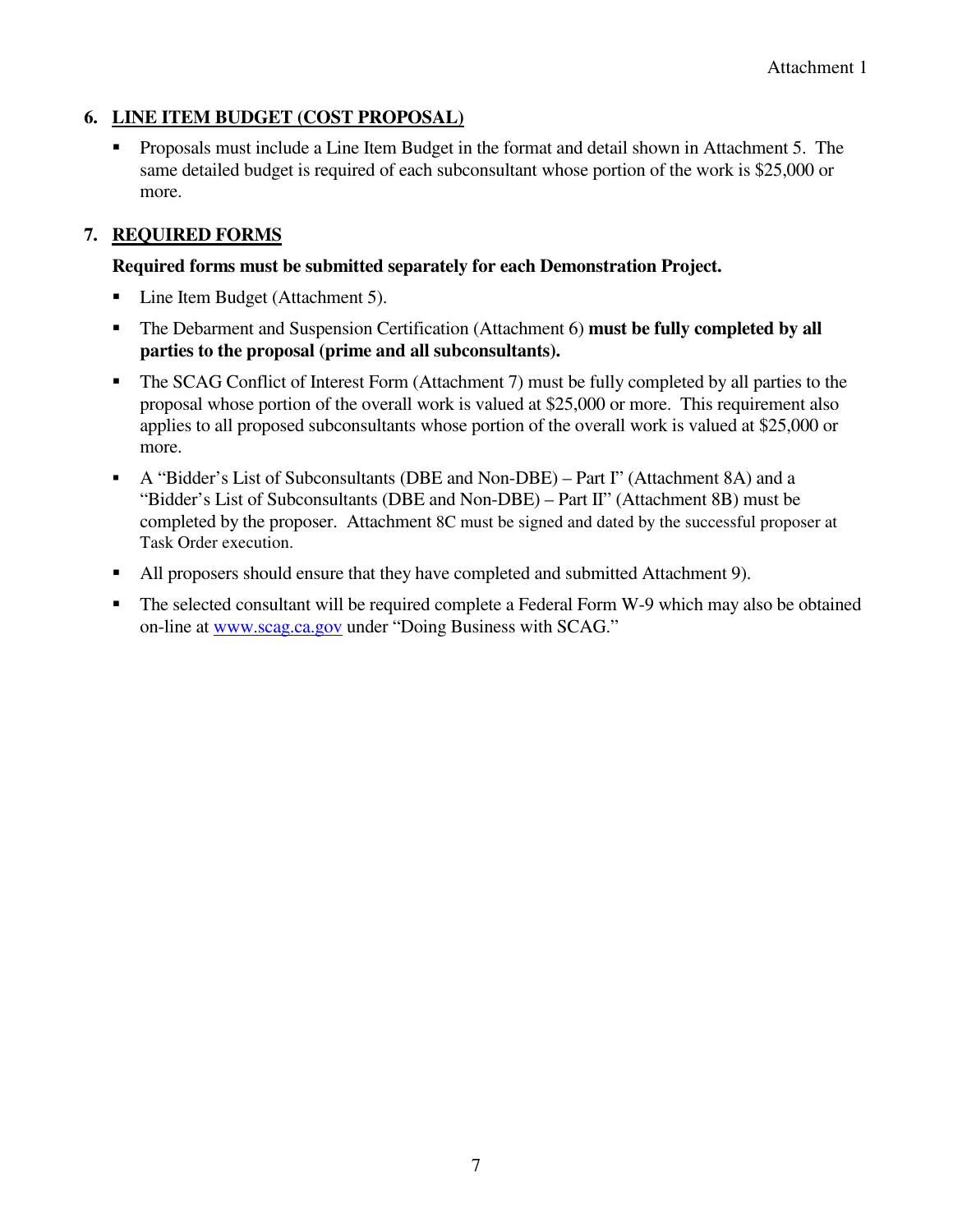# **6. LINE ITEM BUDGET (COST PROPOSAL)**

 Proposals must include a Line Item Budget in the format and detail shown in Attachment 5. The same detailed budget is required of each subconsultant whose portion of the work is \$25,000 or more.

# **7. REQUIRED FORMS**

### **Required forms must be submitted separately for each Demonstration Project.**

- Line Item Budget (Attachment 5).
- The Debarment and Suspension Certification (Attachment 6) **must be fully completed by all parties to the proposal (prime and all subconsultants).**
- The SCAG Conflict of Interest Form (Attachment 7) must be fully completed by all parties to the proposal whose portion of the overall work is valued at \$25,000 or more. This requirement also applies to all proposed subconsultants whose portion of the overall work is valued at \$25,000 or more.
- A "Bidder's List of Subconsultants (DBE and Non-DBE) Part I" (Attachment 8A) and a "Bidder's List of Subconsultants (DBE and Non-DBE) – Part II" (Attachment 8B) must be completed by the proposer. Attachment 8C must be signed and dated by the successful proposer at Task Order execution.
- All proposers should ensure that they have completed and submitted Attachment 9).
- The selected consultant will be required complete a Federal Form W-9 which may also be obtained on-line at www.scag.ca.gov under "Doing Business with SCAG."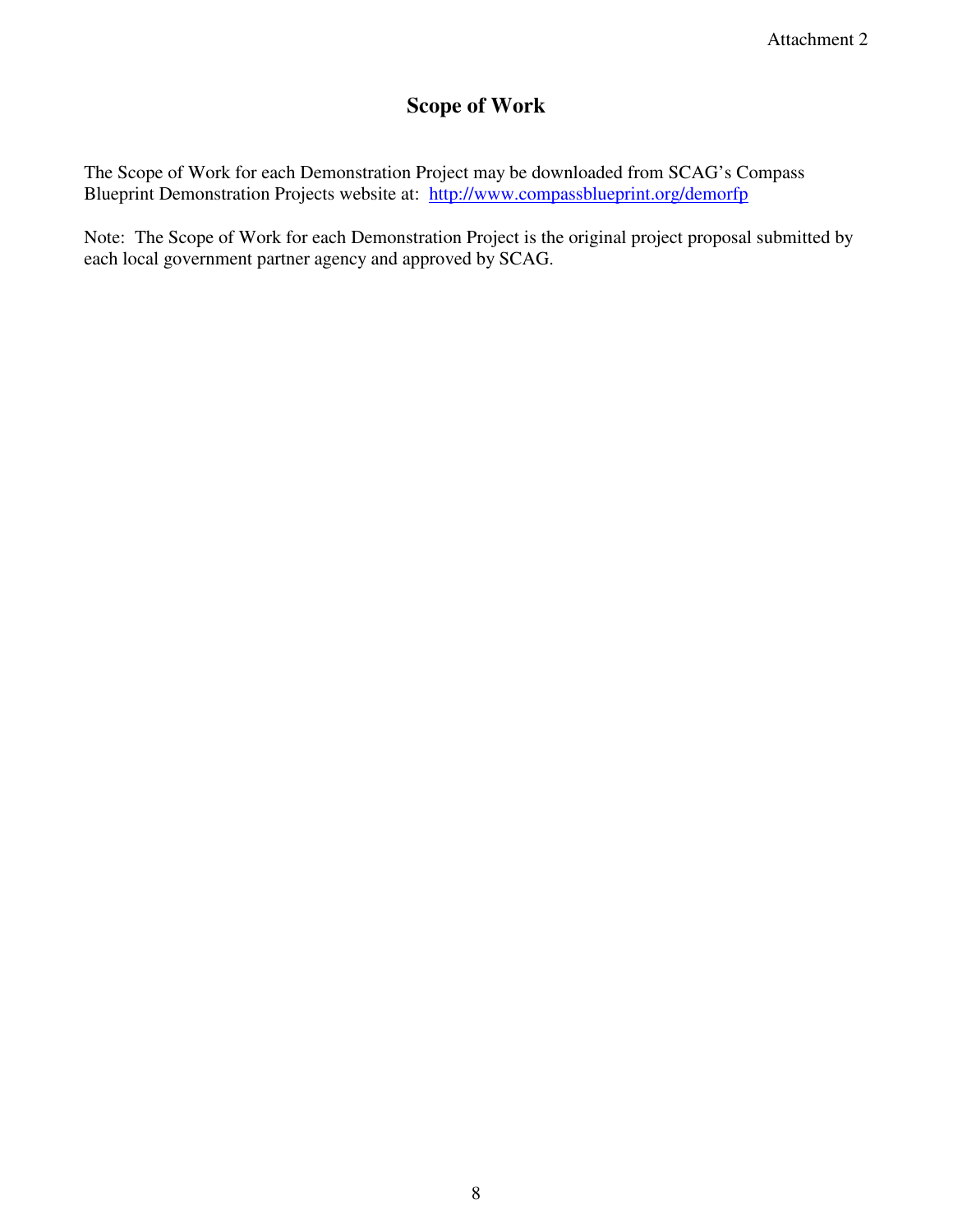# **Scope of Work**

The Scope of Work for each Demonstration Project may be downloaded from SCAG's Compass Blueprint Demonstration Projects website at: http://www.compassblueprint.org/demorfp

Note: The Scope of Work for each Demonstration Project is the original project proposal submitted by each local government partner agency and approved by SCAG.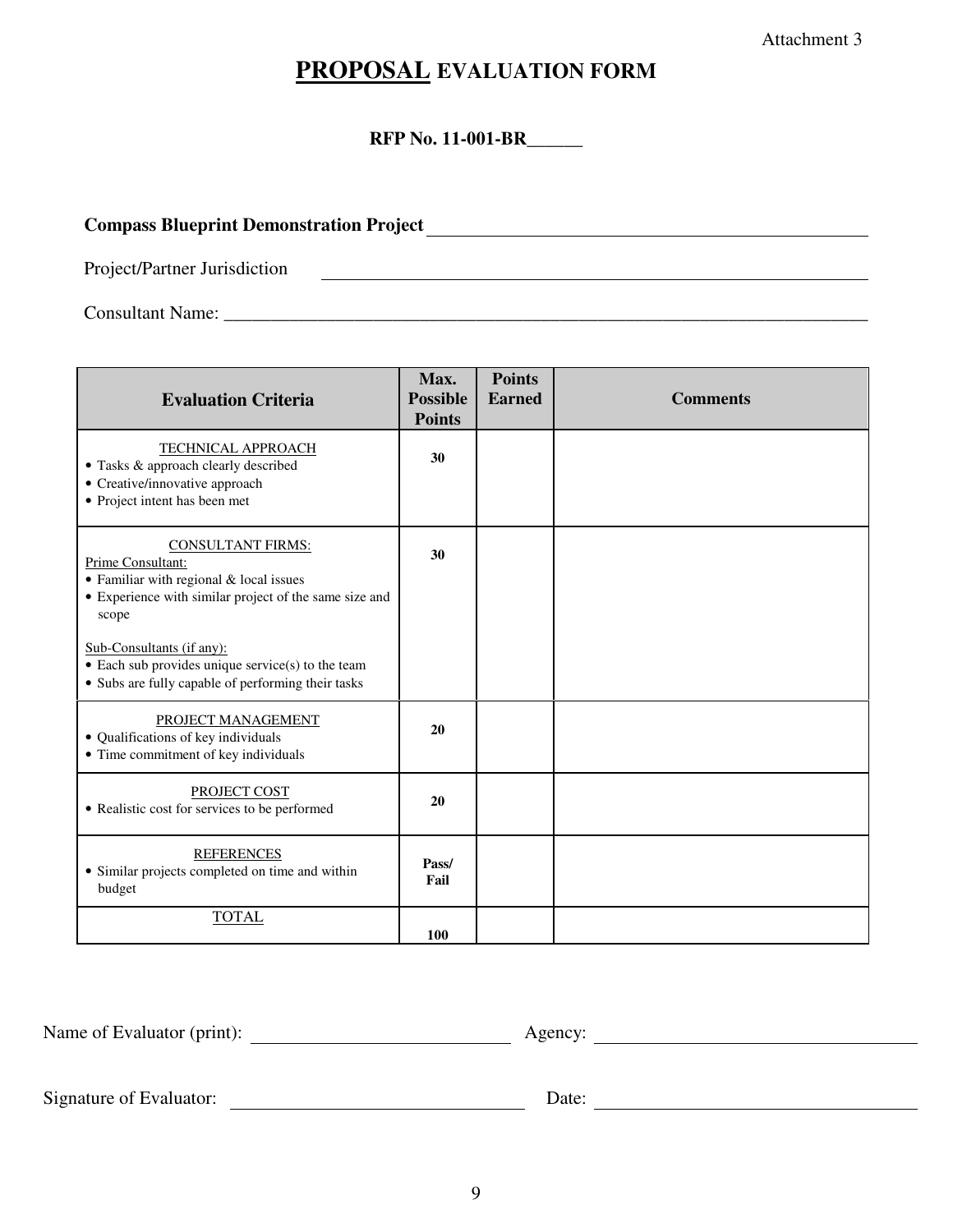Attachment 3

# **PROPOSAL EVALUATION FORM**

**RFP No. 11-001-BR** 

# **Compass Blueprint Demonstration Project**

Project/Partner Jurisdiction

Consultant Name: \_\_\_\_\_\_\_\_\_\_\_\_\_\_\_\_\_\_\_\_\_\_\_\_\_\_\_\_\_\_\_\_\_\_\_\_\_\_\_\_\_\_\_\_\_\_\_\_\_\_\_\_\_\_\_\_\_\_\_\_\_\_\_\_\_\_\_\_\_

| <b>Evaluation Criteria</b>                                                                                                                                                                                                                                                                                  | Max.<br><b>Possible</b><br><b>Points</b> | <b>Points</b><br><b>Earned</b> | <b>Comments</b> |
|-------------------------------------------------------------------------------------------------------------------------------------------------------------------------------------------------------------------------------------------------------------------------------------------------------------|------------------------------------------|--------------------------------|-----------------|
| <b>TECHNICAL APPROACH</b><br>• Tasks & approach clearly described<br>• Creative/innovative approach<br>• Project intent has been met                                                                                                                                                                        | 30                                       |                                |                 |
| <b>CONSULTANT FIRMS:</b><br>Prime Consultant:<br>• Familiar with regional & local issues<br>• Experience with similar project of the same size and<br>scope<br>Sub-Consultants (if any):<br>$\bullet$ Each sub provides unique service(s) to the team<br>• Subs are fully capable of performing their tasks | 30                                       |                                |                 |
| PROJECT MANAGEMENT<br>• Qualifications of key individuals<br>• Time commitment of key individuals                                                                                                                                                                                                           | 20                                       |                                |                 |
| PROJECT COST<br>• Realistic cost for services to be performed                                                                                                                                                                                                                                               | 20                                       |                                |                 |
| <b>REFERENCES</b><br>• Similar projects completed on time and within<br>budget                                                                                                                                                                                                                              | Pass/<br>Fail                            |                                |                 |
| <b>TOTAL</b>                                                                                                                                                                                                                                                                                                | 100                                      |                                |                 |

Name of Evaluator (print): <u>Agency:</u> Agency:

Signature of Evaluator: Date: Date: Date: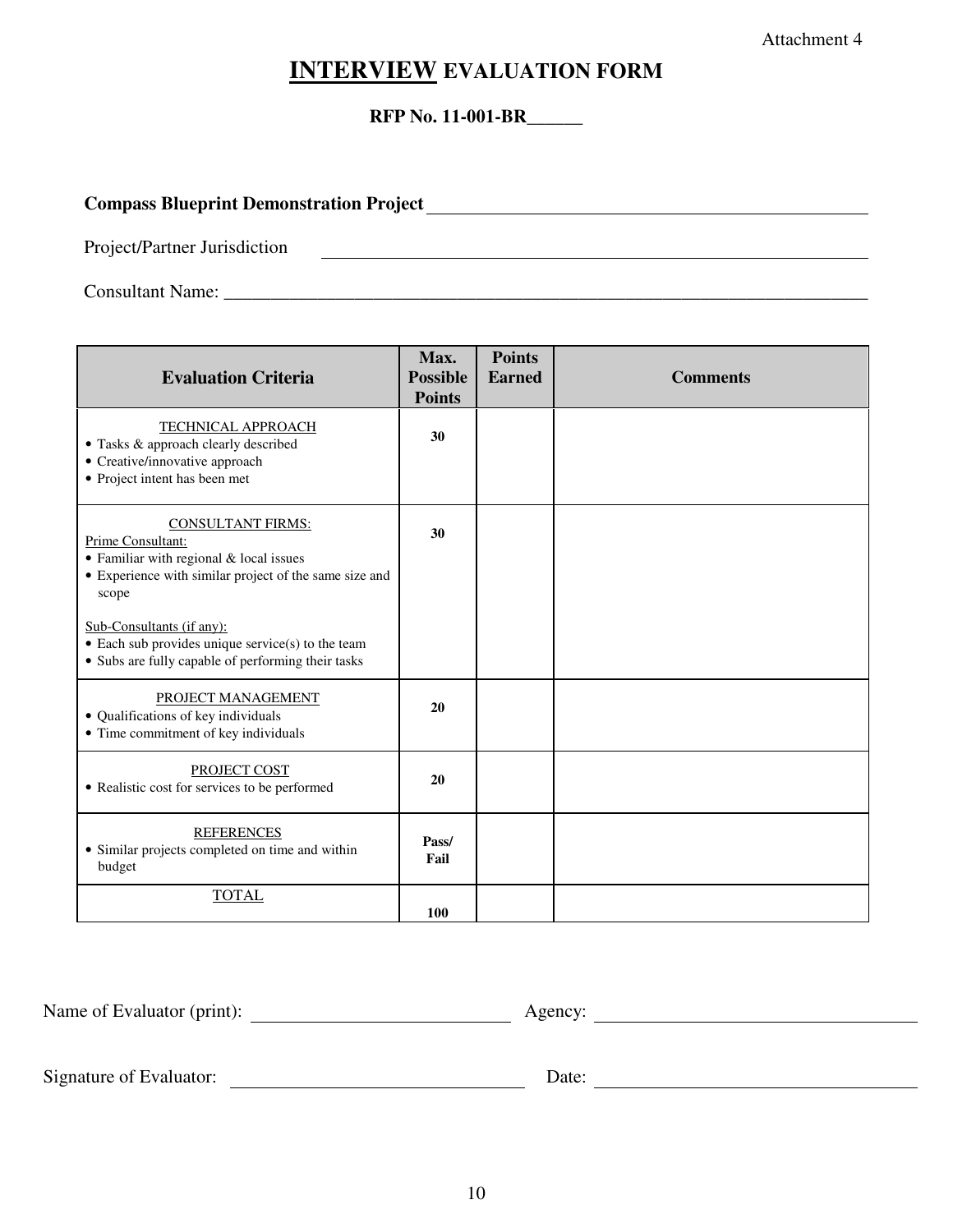Attachment 4

# **INTERVIEW EVALUATION FORM**

### **RFP No. 11-001-BR\_\_\_\_\_\_**

# **Compass Blueprint Demonstration Project**

Project/Partner Jurisdiction

Consultant Name:

| <b>Evaluation Criteria</b>                                                                                                                                                                                                                                                                                  | Max.<br><b>Possible</b><br><b>Points</b> | <b>Points</b><br><b>Earned</b> | <b>Comments</b> |
|-------------------------------------------------------------------------------------------------------------------------------------------------------------------------------------------------------------------------------------------------------------------------------------------------------------|------------------------------------------|--------------------------------|-----------------|
| TECHNICAL APPROACH<br>• Tasks & approach clearly described<br>• Creative/innovative approach<br>• Project intent has been met                                                                                                                                                                               | 30                                       |                                |                 |
| <b>CONSULTANT FIRMS:</b><br>Prime Consultant:<br>• Familiar with regional & local issues<br>• Experience with similar project of the same size and<br>scope<br>Sub-Consultants (if any):<br>$\bullet$ Each sub provides unique service(s) to the team<br>• Subs are fully capable of performing their tasks | 30                                       |                                |                 |
| PROJECT MANAGEMENT<br>• Qualifications of key individuals<br>• Time commitment of key individuals                                                                                                                                                                                                           | 20                                       |                                |                 |
| PROJECT COST<br>• Realistic cost for services to be performed                                                                                                                                                                                                                                               | 20                                       |                                |                 |
| <b>REFERENCES</b><br>• Similar projects completed on time and within<br>budget                                                                                                                                                                                                                              | Pass/<br>Fail                            |                                |                 |
| <b>TOTAL</b>                                                                                                                                                                                                                                                                                                | 100                                      |                                |                 |

| Name of Evaluator (<br>(print).<br>. |  |  |
|--------------------------------------|--|--|
|                                      |  |  |

Signature of Evaluator: Date: Date: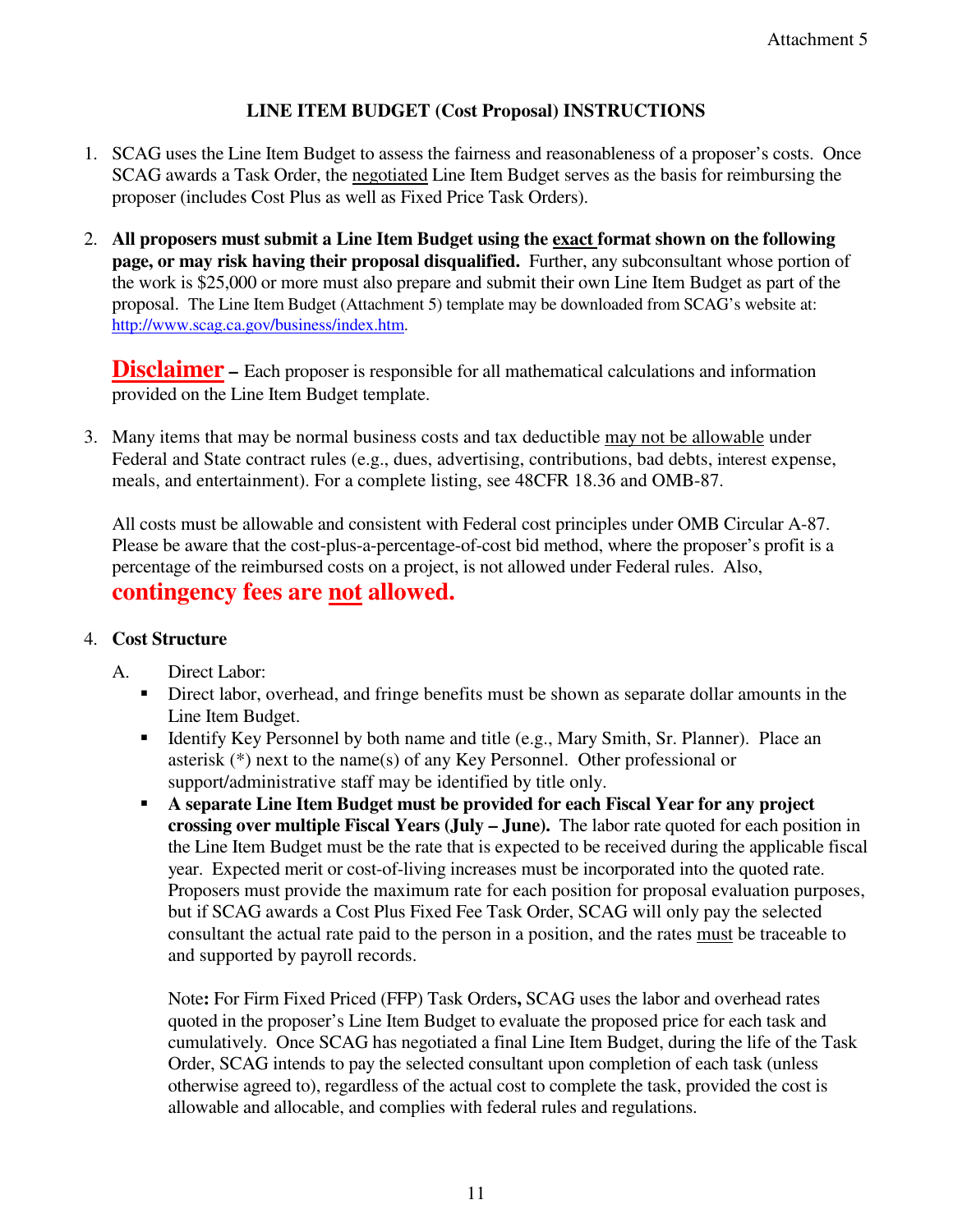# **LINE ITEM BUDGET (Cost Proposal) INSTRUCTIONS**

- 1. SCAG uses the Line Item Budget to assess the fairness and reasonableness of a proposer's costs. Once SCAG awards a Task Order, the negotiated Line Item Budget serves as the basis for reimbursing the proposer (includes Cost Plus as well as Fixed Price Task Orders).
- 2. **All proposers must submit a Line Item Budget using the exact format shown on the following page, or may risk having their proposal disqualified.** Further, any subconsultant whose portion of the work is \$25,000 or more must also prepare and submit their own Line Item Budget as part of the proposal. The Line Item Budget (Attachment 5) template may be downloaded from SCAG's website at: http://www.scag.ca.gov/business/index.htm.

**Disclaimer** – Each proposer is responsible for all mathematical calculations and information provided on the Line Item Budget template.

3. Many items that may be normal business costs and tax deductible may not be allowable under Federal and State contract rules (e.g., dues, advertising, contributions, bad debts, interest expense, meals, and entertainment). For a complete listing, see 48CFR 18.36 and OMB-87.

All costs must be allowable and consistent with Federal cost principles under OMB Circular A-87. Please be aware that the cost-plus-a-percentage-of-cost bid method, where the proposer's profit is a percentage of the reimbursed costs on a project, is not allowed under Federal rules. Also, **contingency fees are not allowed.**

# 4. **Cost Structure**

- A. Direct Labor:
	- Direct labor, overhead, and fringe benefits must be shown as separate dollar amounts in the Line Item Budget.
	- Identify Key Personnel by both name and title (e.g., Mary Smith, Sr. Planner). Place an asterisk (\*) next to the name(s) of any Key Personnel. Other professional or support/administrative staff may be identified by title only.
	- **A separate Line Item Budget must be provided for each Fiscal Year for any project crossing over multiple Fiscal Years (July – June).** The labor rate quoted for each position in the Line Item Budget must be the rate that is expected to be received during the applicable fiscal year. Expected merit or cost-of-living increases must be incorporated into the quoted rate. Proposers must provide the maximum rate for each position for proposal evaluation purposes, but if SCAG awards a Cost Plus Fixed Fee Task Order, SCAG will only pay the selected consultant the actual rate paid to the person in a position, and the rates must be traceable to and supported by payroll records.

Note**:** For Firm Fixed Priced (FFP) Task Orders**,** SCAG uses the labor and overhead rates quoted in the proposer's Line Item Budget to evaluate the proposed price for each task and cumulatively. Once SCAG has negotiated a final Line Item Budget, during the life of the Task Order, SCAG intends to pay the selected consultant upon completion of each task (unless otherwise agreed to), regardless of the actual cost to complete the task, provided the cost is allowable and allocable, and complies with federal rules and regulations.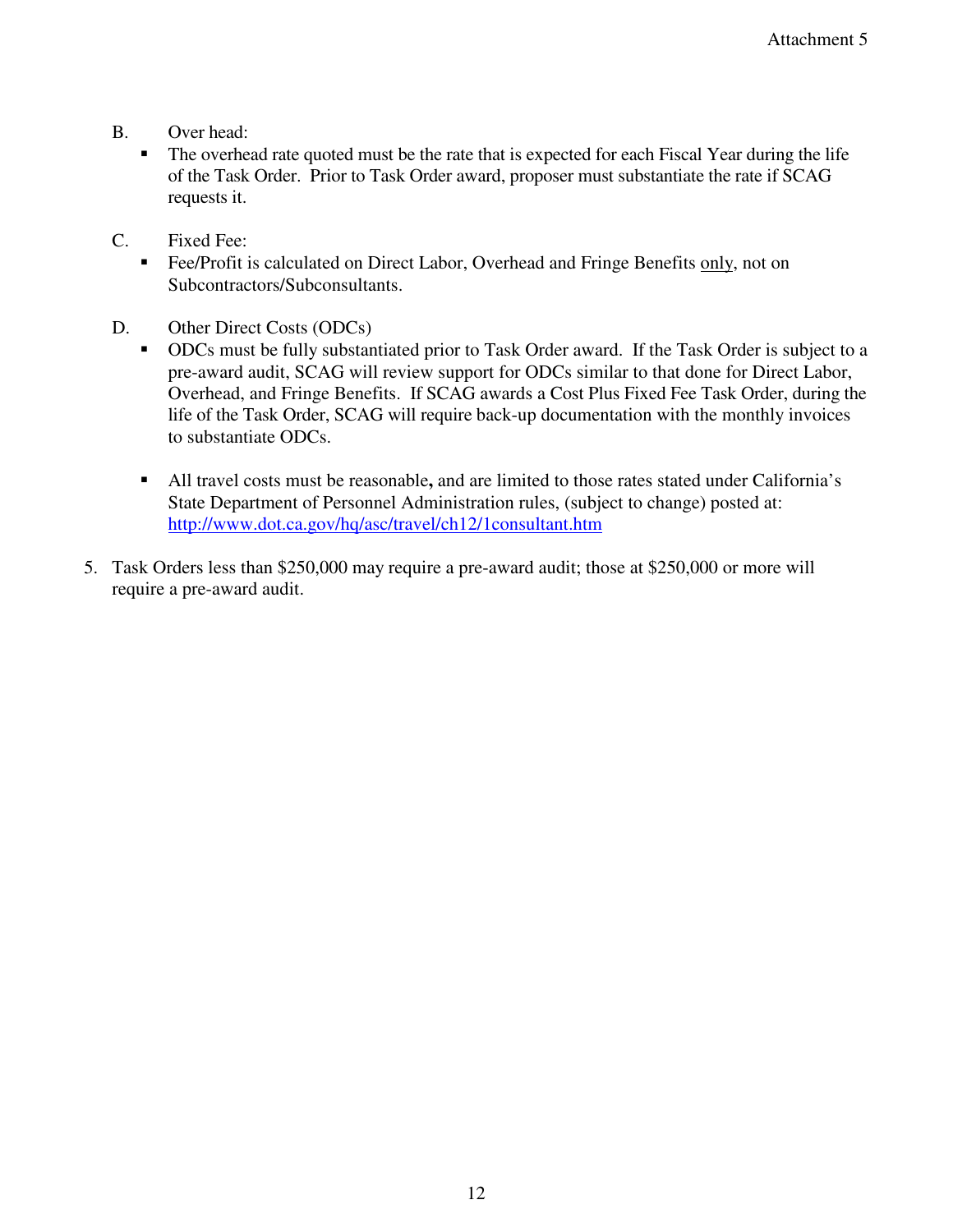- B. Over head:
	- The overhead rate quoted must be the rate that is expected for each Fiscal Year during the life of the Task Order. Prior to Task Order award, proposer must substantiate the rate if SCAG requests it.
- C. Fixed Fee:
	- Fee/Profit is calculated on Direct Labor, Overhead and Fringe Benefits only, not on Subcontractors/Subconsultants.
- D. Other Direct Costs (ODCs)
	- ODCs must be fully substantiated prior to Task Order award. If the Task Order is subject to a pre-award audit, SCAG will review support for ODCs similar to that done for Direct Labor, Overhead, and Fringe Benefits. If SCAG awards a Cost Plus Fixed Fee Task Order, during the life of the Task Order, SCAG will require back-up documentation with the monthly invoices to substantiate ODCs.
	- All travel costs must be reasonable**,** and are limited to those rates stated under California's State Department of Personnel Administration rules, (subject to change) posted at: http://www.dot.ca.gov/hq/asc/travel/ch12/1consultant.htm
- 5. Task Orders less than \$250,000 may require a pre-award audit; those at \$250,000 or more will require a pre-award audit.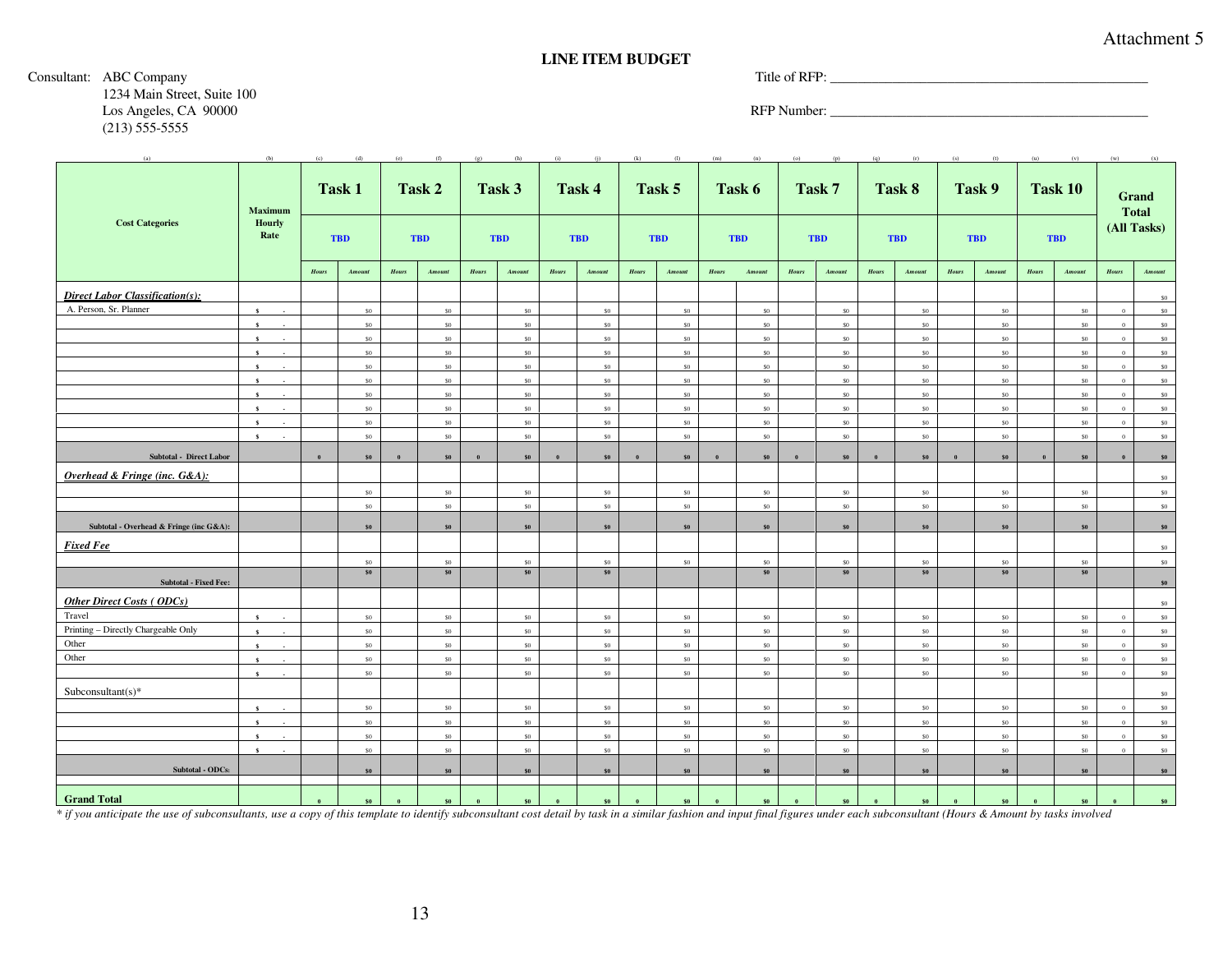#### **LINE ITEM BUDGET**

#### Consultant: ABC Company Title of RFP: Title of RFP:

1234 Main Street, Suite 100 Los Angeles, CA 90000 RFP Number: \_\_\_\_\_\_\_\_\_\_\_\_\_\_\_\_\_\_\_\_\_\_\_\_\_\_\_\_\_\_\_\_\_\_\_\_\_\_\_\_\_\_\_\_\_\_ (213) 555-5555

| (a)                                     | (b)                    | (c)   | (d)           | (e)   | (f)        | $(\sigma)$ | (h)            | (i)          |                 | (k)   | (1)            | (m)   |            | (a)   |            |              | (r)            | (s)   |                | (u)   | (v)            | (w)            |                       |
|-----------------------------------------|------------------------|-------|---------------|-------|------------|------------|----------------|--------------|-----------------|-------|----------------|-------|------------|-------|------------|--------------|----------------|-------|----------------|-------|----------------|----------------|-----------------------|
|                                         | Maximum                |       | Task 1        |       | Task 2     |            | Task 3         |              | Task 4          |       | Task 5         |       | Task 6     |       | Task 7     |              | Task 8         |       | Task 9         |       | <b>Task 10</b> |                | Grand<br><b>Total</b> |
| <b>Cost Categories</b>                  | Hourly<br>Rate         |       | <b>TBD</b>    |       | <b>TBD</b> |            | <b>TBD</b>     |              | <b>TBD</b>      |       | <b>TBD</b>     |       | <b>TBD</b> |       | <b>TBD</b> |              | <b>TBD</b>     |       | <b>TBD</b>     |       | <b>TBD</b>     |                | (All Tasks)           |
|                                         |                        | Hours | <b>Amount</b> | Hours | Amount     | Hours      | Amount         | <b>Hours</b> | <b>Amount</b>   | Hours | Amount         | Hours | Amount     | Hours | Amount     | <b>Hours</b> | $A$ mount      | Hours | $A m o un t$   | Hours | Amount         | Hours          | A m o un t            |
| <b>Direct Labor Classification(s):</b>  |                        |       |               |       |            |            |                |              |                 |       |                |       |            |       |            |              |                |       |                |       |                |                | \$0                   |
| A. Person, Sr. Planner                  | $\mathbf{s}$<br>$\sim$ |       | \$0           |       | \$0        |            | S <sub>0</sub> |              | 50              |       | S <sub>0</sub> |       | $\$0$      |       | \$0        |              | S <sub>0</sub> |       | \$0            |       | 50             | $\overline{0}$ | S <sub>0</sub>        |
|                                         | $\mathbf{s}$           |       | \$0           |       | \$0        |            | 50             |              | 50              |       | 50             |       | 50         |       | \$0        |              | 50             |       | \$0            |       | 50             | $\mathbf{0}$   | S <sub>0</sub>        |
|                                         | $\mathbf{s}$           |       | 50            |       | \$0        |            | 50             |              | 50              |       | 50             |       | \$0        |       | \$0        |              | 50             |       | \$0            |       | S <sub>0</sub> | $\alpha$       | S <sub>0</sub>        |
|                                         | $\mathbf{s}$           |       | $50 -$        |       | \$0        |            | S <sub>0</sub> |              | $50 -$          |       | 50             |       | \$0        |       | \$0        |              | 50             |       | 50             |       | S <sub>0</sub> | $\mathbf{0}$   | \$0                   |
|                                         | $\mathbf{s}$           |       | $\$0$         |       | \$0        |            | S <sub>0</sub> |              | $\$0$           |       | S <sub>0</sub> |       | \$0        |       | $\$0$      |              | S <sub>0</sub> |       | \$0            |       | S <sub>0</sub> | $\alpha$       | S <sub>0</sub>        |
|                                         | $\mathbf{s}$           |       | 50            |       | \$0        |            | $\mathsf{S}0$  |              | 50              |       | S <sub>0</sub> |       | \$0        |       | \$0        |              | S <sub>0</sub> |       | \$0            |       | 50             | $\Omega$       | \$0                   |
|                                         | $\mathbf{s}$           |       | $\$0$         |       | \$0        |            | 50             |              | 50              |       | $\mathsf{S}0$  |       | 50         |       | \$0        |              | $\mathsf{S}0$  |       | 50             |       | S <sub>0</sub> | $\alpha$       | S <sub>0</sub>        |
|                                         |                        |       | \$0           |       | \$0        |            | S <sub>0</sub> |              | 50              |       | 50             |       | 50         |       | \$0        |              | 50             |       | $\mathsf{s}_0$ |       | S <sub>0</sub> | $\theta$       | \$0                   |
|                                         | $\mathbf{s}$           |       | 50            |       | $\$0$      |            | S <sub>0</sub> |              | $\$0$           |       | $\mathsf{S}0$  |       | $\$0$      |       | $\$0$      |              | S <sub>0</sub> |       | $\$0$          |       | 50             | $\alpha$       | S <sub>0</sub>        |
|                                         | $\mathbf{s}$           |       | $\$0$         |       | \$0        |            | $\mathsf{S}0$  |              | 50              |       | $\mathsf{S}0$  |       | $\$0$      |       | \$0        |              | S <sub>0</sub> |       | \$0            |       | 50             | $\Omega$       | S <sub>0</sub>        |
| <b>Subtotal - Direct Labor</b>          |                        |       | \$0           |       | \$0        |            | \$0            |              | \$0             |       | \$0\$          |       | \$0        |       | \$0        |              | \$0            |       | \$0            |       | \$0            |                | \$0                   |
| Overhead & Fringe (inc. G&A):           |                        |       |               |       |            |            |                |              |                 |       |                |       |            |       |            |              |                |       |                |       |                |                | \$0                   |
|                                         |                        |       | \$0           |       | \$0        |            | 50             |              | \$0             |       | S <sub>0</sub> |       | 50         |       | \$0        |              | S <sub>0</sub> |       | \$0            |       | 50             |                | S <sub>0</sub>        |
|                                         |                        |       | \$0           |       | \$0        |            | $\mathsf{S}0$  |              | \$0             |       | 50             |       | 50         |       | \$0        |              | 50             |       | \$0            |       | 50             |                | 50                    |
| Subtotal - Overhead & Fringe (inc G&A): |                        |       | \$0           |       | \$0        |            | \$0            |              | \$0             |       | \$0            |       | \$0        |       | \$0        |              | \$0            |       | \$0            |       | \$0            |                | \$0                   |
| <b>Fixed Fee</b>                        |                        |       |               |       |            |            |                |              |                 |       |                |       |            |       |            |              |                |       |                |       |                |                | \$0                   |
|                                         |                        |       | $\$0$         |       | $\$0$      |            | S <sub>0</sub> |              | $\$0$           |       | $\mathsf{S}0$  |       | $\$0$      |       | $\$0$      |              | S <sub>0</sub> |       | $\$0$          |       | $\$0$          |                | S <sub>0</sub>        |
| <b>Subtotal - Fixed Fee:</b>            |                        |       | \$0           |       | $\$0$      |            | \$0            |              | \$0             |       |                |       | \$0        |       | \$0        |              | \$0            |       | \$0            |       | $\$0$          |                | \$0                   |
| Other Direct Costs (ODCs)               |                        |       |               |       |            |            |                |              |                 |       |                |       |            |       |            |              |                |       |                |       |                |                | \$0                   |
| Travel                                  | $\epsilon$             |       | 50            |       | \$0        |            | S <sub>0</sub> |              | 50              |       | S <sub>0</sub> |       | 50         |       | \$0        |              | S <sub>0</sub> |       | \$0            |       | S <sub>0</sub> | $\theta$       | S <sub>0</sub>        |
| Printing - Directly Chargeable Only     | $\mathbf{s}$           |       | $\$0$         |       | $\$0$      |            | S <sub>0</sub> |              | $\$0$           |       | S <sub>0</sub> |       | $\$0$      |       | \$0        |              | S <sub>0</sub> |       | $\$0$          |       | S <sub>0</sub> | $\,$ 0 $\,$    | S <sub>0</sub>        |
| Other                                   | $\mathbf{s}$           |       | $\$0$         |       | \$0        |            | $\mathsf{S}0$  |              | 50              |       | 50             |       | 50         |       | \$0        |              | 50             |       | \$0            |       | S <sub>0</sub> | $\Omega$       | 50                    |
| Other                                   | $\mathbf{s}$           |       | $\$0$         |       | \$0        |            | $\$0$          |              | \$0             |       | $\mathsf{S}0$  |       | $\$0$      |       | \$0        |              | $\mathsf{S}0$  |       | $\$0$          |       | S <sub>0</sub> | $\Omega$       | S <sub>0</sub>        |
|                                         | $\mathbf{s}$           |       | 50            |       | \$0        |            | 50             |              | 50              |       | 50             |       | 50         |       | \$0        |              | 50             |       | \$0            |       | 50             | $\theta$       | S <sub>0</sub>        |
| Subconsultant $(s)^*$                   |                        |       |               |       |            |            |                |              |                 |       |                |       |            |       |            |              |                |       |                |       |                |                | S <sub>0</sub>        |
|                                         | $\mathbf{s}$           |       | 50            |       | \$0        |            | S <sub>0</sub> |              | 50              |       | $\mathsf{S}0$  |       | $\$0$      |       | \$0        |              | S <sub>0</sub> |       | $\$0$          |       | 50             | $\mathbf{0}$   | S <sub>0</sub>        |
|                                         | $\epsilon$             |       | \$0           |       | \$0        |            | S <sub>0</sub> |              | 50              |       | S <sub>0</sub> |       | 50         |       | \$0        |              | S <sub>0</sub> |       | \$0            |       | S <sub>0</sub> | $\alpha$       | \$0                   |
|                                         | $\mathbf{s}$           |       | $\$0$         |       | \$0        |            | S <sub>0</sub> |              | \$0             |       | S <sub>0</sub> |       | 50         |       | \$0        |              | S <sub>0</sub> |       | $\$0$          |       | 50             | $\,$ 0 $\,$    | S <sub>0</sub>        |
|                                         | $\mathbf{s}$           |       | 50            |       | \$0        |            | 50             |              | 50 <sup>°</sup> |       | 50             |       | 50         |       | 50         |              | 50             |       | \$0            |       | 50             | $\alpha$       | S <sub>0</sub>        |
| Subtotal - ODCs:                        |                        |       | \$0           |       | \$0        |            | \$0            |              | \$0             |       | \$0            |       | \$0        |       | \$0        |              | \$0            |       | \$0            |       | \$0            |                | \$0                   |
|                                         |                        |       |               |       |            |            |                |              |                 |       |                |       |            |       |            |              |                |       |                |       |                |                |                       |
| <b>Grand Total</b>                      |                        |       | <b>so</b>     |       | \$0        |            | \$0            |              | ¢n.             |       | so             |       | \$0\$      |       |            |              | \$0            |       | \$0            |       | $c$            |                | \$0                   |

\* if you anticipate the use of subconsultants, use a copy of this template to identify subconsultant cost detail by task in a similar fashion and input final figures under each subconsultant (Hours & Amount by tasks involv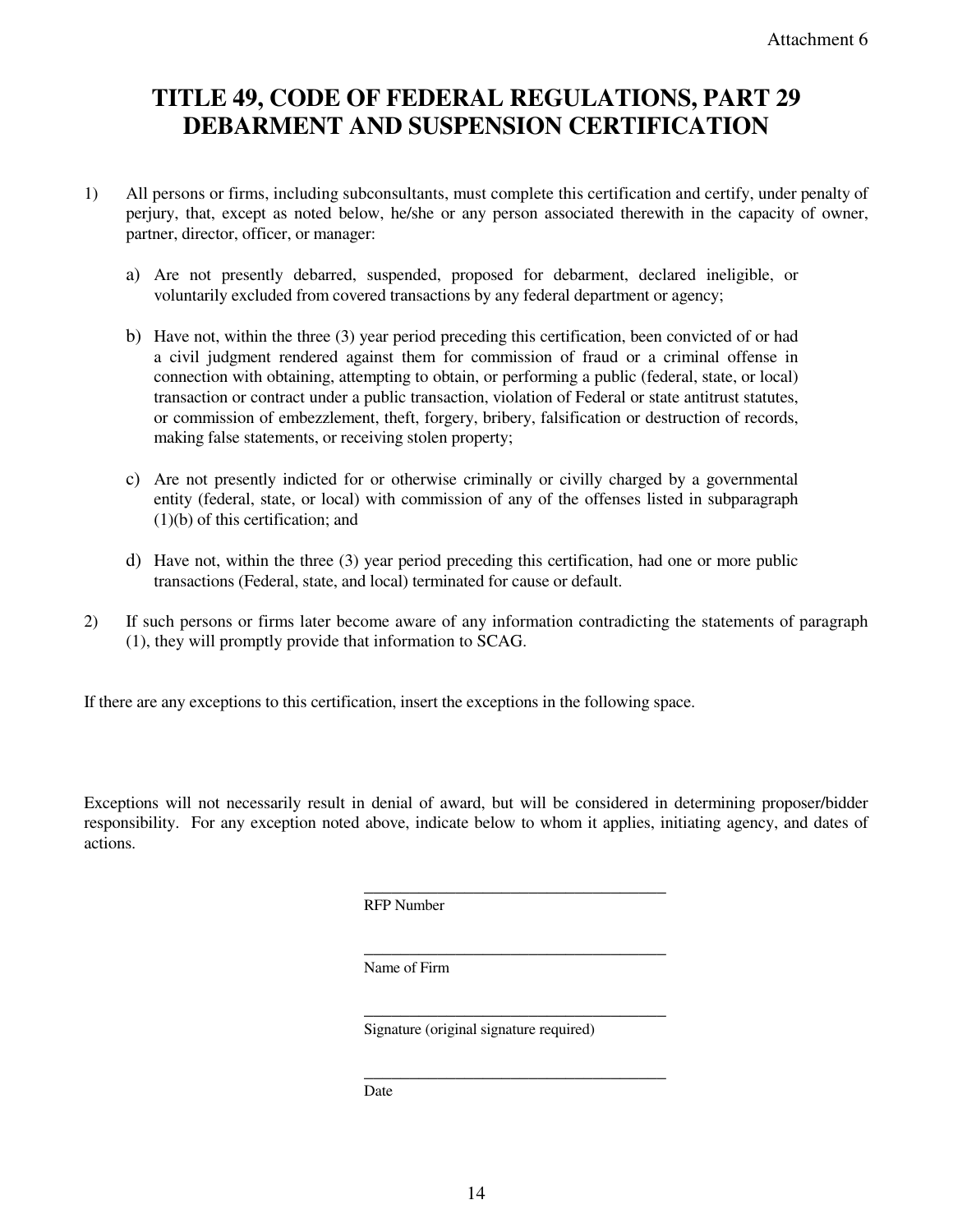# **TITLE 49, CODE OF FEDERAL REGULATIONS, PART 29 DEBARMENT AND SUSPENSION CERTIFICATION**

- 1) All persons or firms, including subconsultants, must complete this certification and certify, under penalty of perjury, that, except as noted below, he/she or any person associated therewith in the capacity of owner, partner, director, officer, or manager:
	- a) Are not presently debarred, suspended, proposed for debarment, declared ineligible, or voluntarily excluded from covered transactions by any federal department or agency;
	- b) Have not, within the three (3) year period preceding this certification, been convicted of or had a civil judgment rendered against them for commission of fraud or a criminal offense in connection with obtaining, attempting to obtain, or performing a public (federal, state, or local) transaction or contract under a public transaction, violation of Federal or state antitrust statutes, or commission of embezzlement, theft, forgery, bribery, falsification or destruction of records, making false statements, or receiving stolen property;
	- c) Are not presently indicted for or otherwise criminally or civilly charged by a governmental entity (federal, state, or local) with commission of any of the offenses listed in subparagraph (1)(b) of this certification; and
	- d) Have not, within the three (3) year period preceding this certification, had one or more public transactions (Federal, state, and local) terminated for cause or default.
- 2) If such persons or firms later become aware of any information contradicting the statements of paragraph (1), they will promptly provide that information to SCAG.

If there are any exceptions to this certification, insert the exceptions in the following space.

Exceptions will not necessarily result in denial of award, but will be considered in determining proposer/bidder responsibility. For any exception noted above, indicate below to whom it applies, initiating agency, and dates of actions.

RFP Number

 $\overline{\phantom{a}}$  , and the contract of the contract of the contract of the contract of the contract of the contract of the contract of the contract of the contract of the contract of the contract of the contract of the contrac

 $\overline{\phantom{a}}$  , and the contract of the contract of the contract of the contract of the contract of the contract of the contract of the contract of the contract of the contract of the contract of the contract of the contrac

 $\overline{\phantom{a}}$  , and the contract of the contract of the contract of the contract of the contract of the contract of the contract of the contract of the contract of the contract of the contract of the contract of the contrac

Name of Firm

Signature (original signature required)

 $\overline{\phantom{a}}$  , and the contract of the contract of the contract of the contract of the contract of the contract of the contract of the contract of the contract of the contract of the contract of the contract of the contrac Date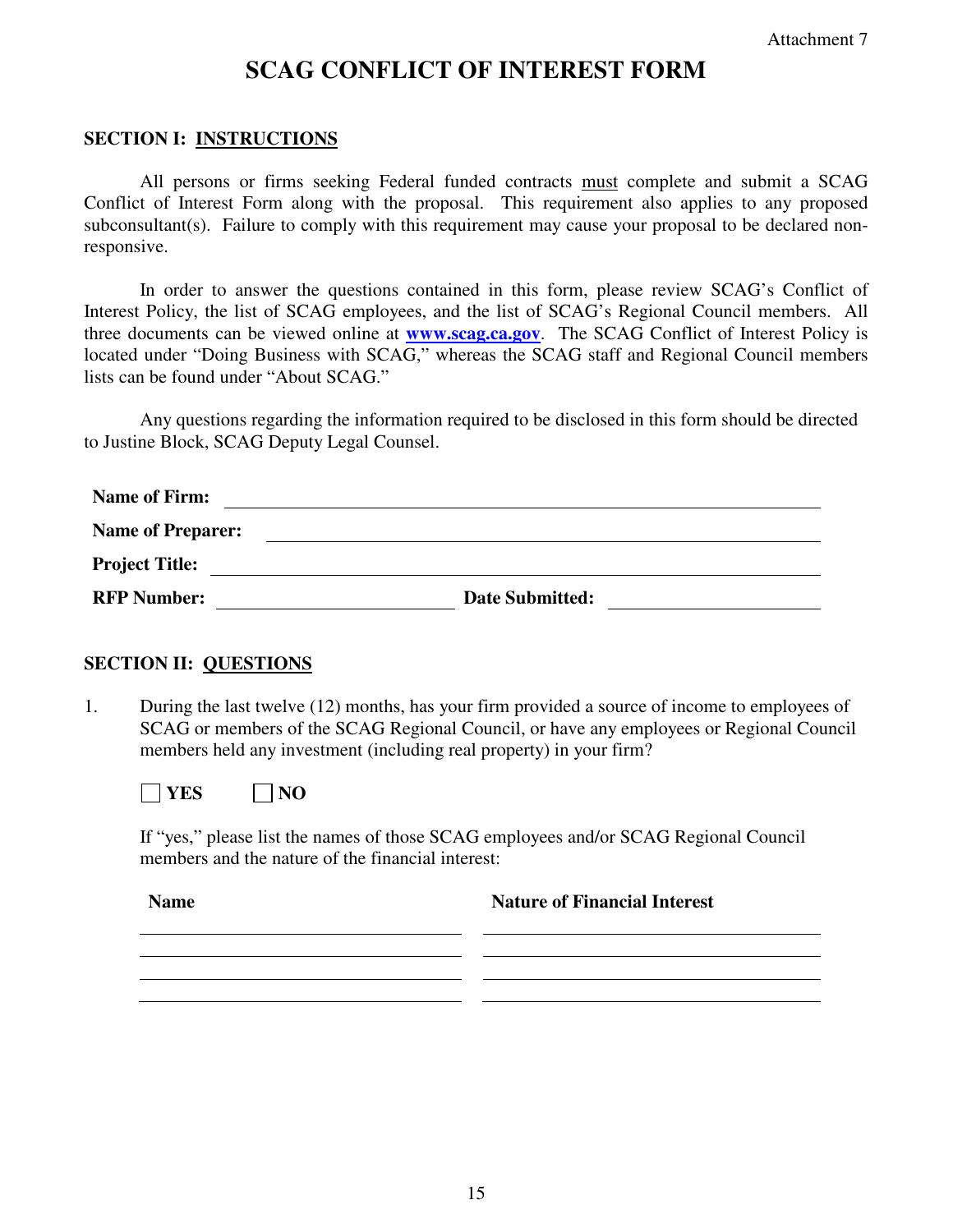# **SCAG CONFLICT OF INTEREST FORM**

### **SECTION I: INSTRUCTIONS**

All persons or firms seeking Federal funded contracts must complete and submit a SCAG Conflict of Interest Form along with the proposal. This requirement also applies to any proposed subconsultant(s). Failure to comply with this requirement may cause your proposal to be declared nonresponsive.

 In order to answer the questions contained in this form, please review SCAG's Conflict of Interest Policy, the list of SCAG employees, and the list of SCAG's Regional Council members. All three documents can be viewed online at **www.scag.ca.gov**. The SCAG Conflict of Interest Policy is located under "Doing Business with SCAG," whereas the SCAG staff and Regional Council members lists can be found under "About SCAG."

Any questions regarding the information required to be disclosed in this form should be directed to Justine Block, SCAG Deputy Legal Counsel.

| <b>Name of Firm:</b>     |                        |
|--------------------------|------------------------|
| <b>Name of Preparer:</b> |                        |
| <b>Project Title:</b>    |                        |
| <b>RFP Number:</b>       | <b>Date Submitted:</b> |

# **SECTION II: QUESTIONS**

1. During the last twelve (12) months, has your firm provided a source of income to employees of SCAG or members of the SCAG Regional Council, or have any employees or Regional Council members held any investment (including real property) in your firm?

**NO** YES NO

If "yes," please list the names of those SCAG employees and/or SCAG Regional Council members and the nature of the financial interest:

**Name** Nature of Financial Interest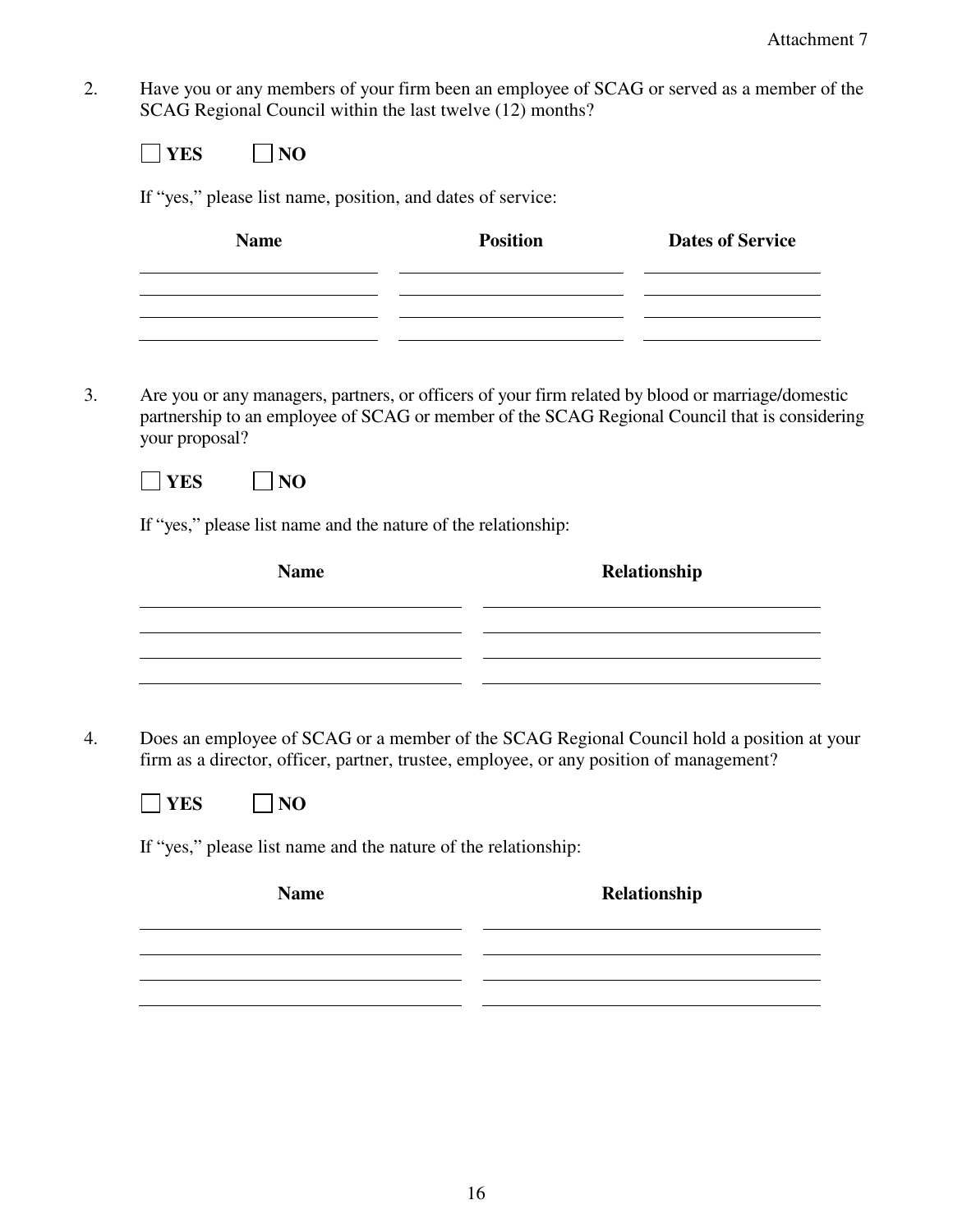2. Have you or any members of your firm been an employee of SCAG or served as a member of the SCAG Regional Council within the last twelve (12) months?

| <b>Name</b>                                                                                                                                                                                                          | <b>Position</b>                                                                 | <b>Dates of Service</b>                                    |
|----------------------------------------------------------------------------------------------------------------------------------------------------------------------------------------------------------------------|---------------------------------------------------------------------------------|------------------------------------------------------------|
|                                                                                                                                                                                                                      |                                                                                 |                                                            |
|                                                                                                                                                                                                                      | the contract of the contract of the contract of the contract of the contract of |                                                            |
|                                                                                                                                                                                                                      |                                                                                 |                                                            |
| Are you or any managers, partners, or officers of your firm related by blood or marriage/domestic<br>partnership to an employee of SCAG or member of the SCAG Regional Council that is considering<br>your proposal? |                                                                                 |                                                            |
| <b>YES</b><br> NO                                                                                                                                                                                                    |                                                                                 |                                                            |
| If "yes," please list name and the nature of the relationship:                                                                                                                                                       |                                                                                 |                                                            |
|                                                                                                                                                                                                                      |                                                                                 |                                                            |
|                                                                                                                                                                                                                      |                                                                                 |                                                            |
| <b>Name</b>                                                                                                                                                                                                          |                                                                                 | Relationship                                               |
|                                                                                                                                                                                                                      |                                                                                 | <u> 1980 - Johann Barbara, martxa alemaniar amerikan a</u> |
|                                                                                                                                                                                                                      |                                                                                 |                                                            |
|                                                                                                                                                                                                                      |                                                                                 |                                                            |
| Does an employee of SCAG or a member of the SCAG Regional Council hold a position at your<br>firm as a director, officer, partner, trustee, employee, or any position of management?                                 |                                                                                 |                                                            |
| <b>YES</b><br>NO                                                                                                                                                                                                     |                                                                                 |                                                            |
| If "yes," please list name and the nature of the relationship:                                                                                                                                                       |                                                                                 |                                                            |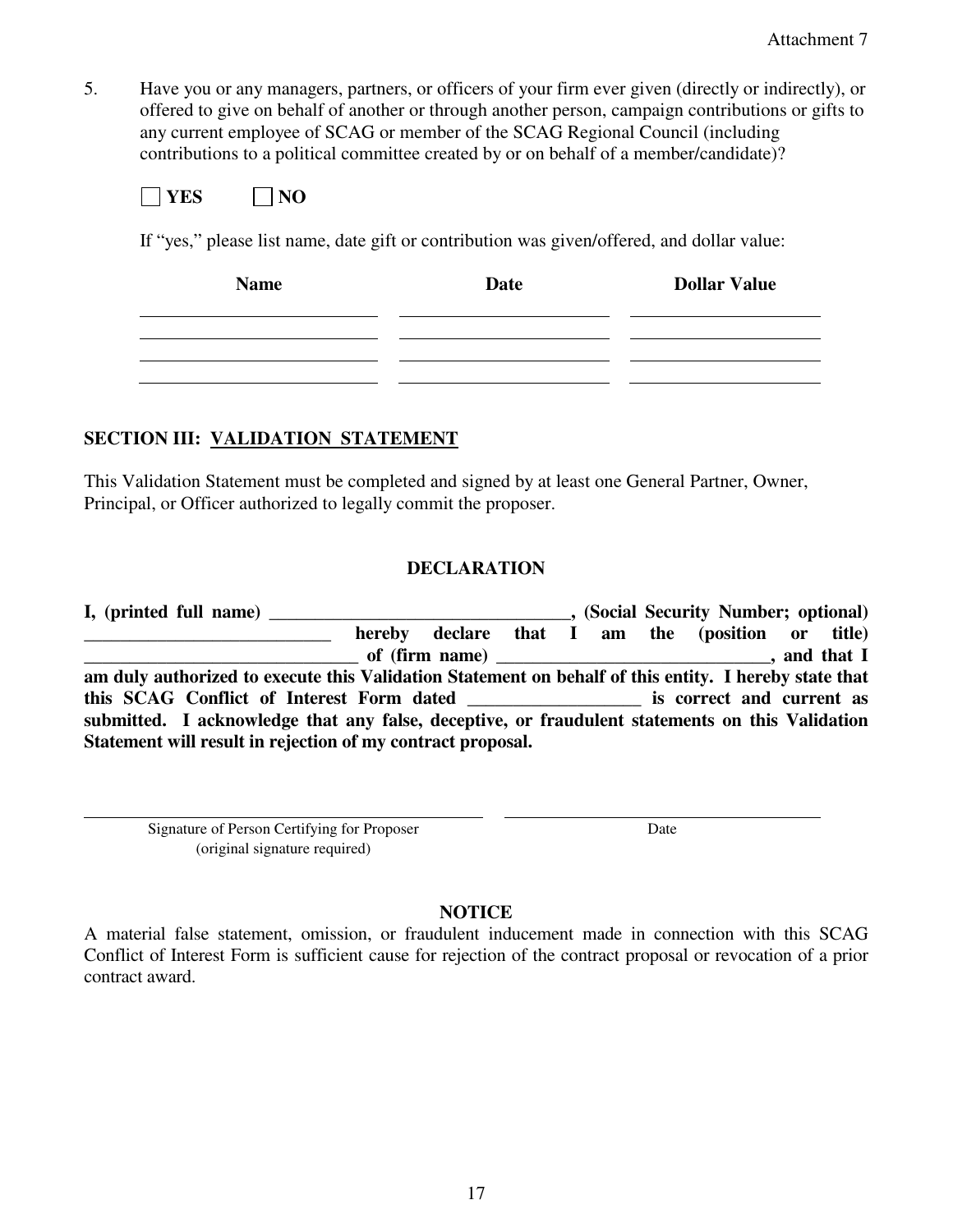5. Have you or any managers, partners, or officers of your firm ever given (directly or indirectly), or offered to give on behalf of another or through another person, campaign contributions or gifts to any current employee of SCAG or member of the SCAG Regional Council (including contributions to a political committee created by or on behalf of a member/candidate)?

| Vï | Ñ |
|----|---|
|----|---|

If "yes," please list name, date gift or contribution was given/offered, and dollar value:

| <b>Name</b> | Date | <b>Dollar Value</b> |
|-------------|------|---------------------|
|             |      |                     |
|             |      |                     |
|             |      |                     |

# **SECTION III: VALIDATION STATEMENT**

This Validation Statement must be completed and signed by at least one General Partner, Owner, Principal, or Officer authorized to legally commit the proposer.

# **DECLARATION**

| I, (printed full name)                                                                                |  |  |  | (Social Security Number; optional)               |  |
|-------------------------------------------------------------------------------------------------------|--|--|--|--------------------------------------------------|--|
|                                                                                                       |  |  |  | hereby declare that I am the (position or title) |  |
|                                                                                                       |  |  |  |                                                  |  |
| am duly authorized to execute this Validation Statement on behalf of this entity. I hereby state that |  |  |  |                                                  |  |
| this SCAG Conflict of Interest Form dated is correct and current as                                   |  |  |  |                                                  |  |
| submitted. I acknowledge that any false, deceptive, or fraudulent statements on this Validation       |  |  |  |                                                  |  |
| Statement will result in rejection of my contract proposal.                                           |  |  |  |                                                  |  |

Signature of Person Certifying for Proposer (original signature required)

Date

# **NOTICE**

A material false statement, omission, or fraudulent inducement made in connection with this SCAG Conflict of Interest Form is sufficient cause for rejection of the contract proposal or revocation of a prior contract award.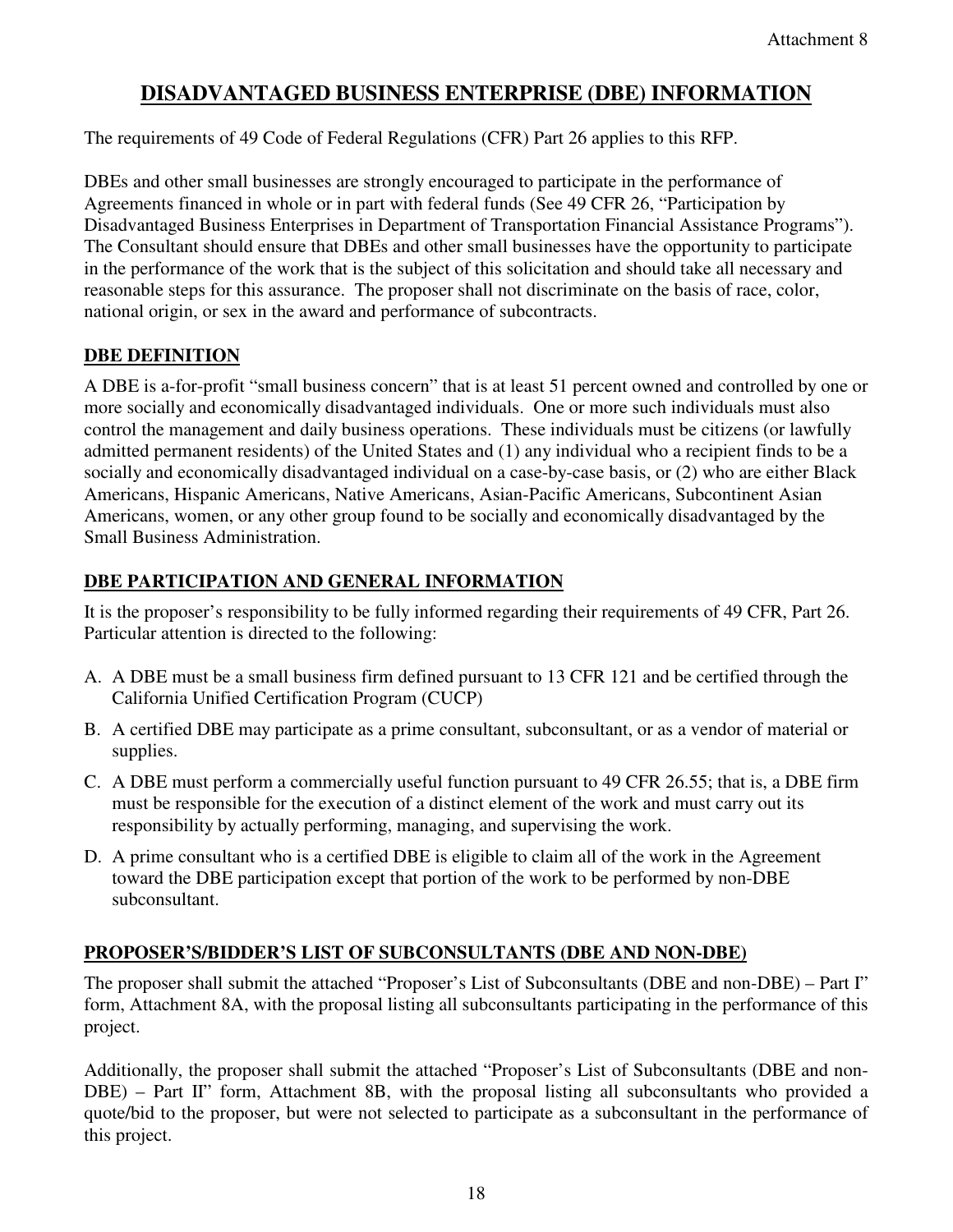# **DISADVANTAGED BUSINESS ENTERPRISE (DBE) INFORMATION**

The requirements of 49 Code of Federal Regulations (CFR) Part 26 applies to this RFP.

DBEs and other small businesses are strongly encouraged to participate in the performance of Agreements financed in whole or in part with federal funds (See 49 CFR 26, "Participation by Disadvantaged Business Enterprises in Department of Transportation Financial Assistance Programs"). The Consultant should ensure that DBEs and other small businesses have the opportunity to participate in the performance of the work that is the subject of this solicitation and should take all necessary and reasonable steps for this assurance. The proposer shall not discriminate on the basis of race, color, national origin, or sex in the award and performance of subcontracts.

# **DBE DEFINITION**

A DBE is a-for-profit "small business concern" that is at least 51 percent owned and controlled by one or more socially and economically disadvantaged individuals. One or more such individuals must also control the management and daily business operations. These individuals must be citizens (or lawfully admitted permanent residents) of the United States and (1) any individual who a recipient finds to be a socially and economically disadvantaged individual on a case-by-case basis, or (2) who are either Black Americans, Hispanic Americans, Native Americans, Asian-Pacific Americans, Subcontinent Asian Americans, women, or any other group found to be socially and economically disadvantaged by the Small Business Administration.

# **DBE PARTICIPATION AND GENERAL INFORMATION**

It is the proposer's responsibility to be fully informed regarding their requirements of 49 CFR, Part 26. Particular attention is directed to the following:

- A. A DBE must be a small business firm defined pursuant to 13 CFR 121 and be certified through the California Unified Certification Program (CUCP)
- B. A certified DBE may participate as a prime consultant, subconsultant, or as a vendor of material or supplies.
- C. A DBE must perform a commercially useful function pursuant to 49 CFR 26.55; that is, a DBE firm must be responsible for the execution of a distinct element of the work and must carry out its responsibility by actually performing, managing, and supervising the work.
- D. A prime consultant who is a certified DBE is eligible to claim all of the work in the Agreement toward the DBE participation except that portion of the work to be performed by non-DBE subconsultant.

# **PROPOSER'S/BIDDER'S LIST OF SUBCONSULTANTS (DBE AND NON-DBE)**

The proposer shall submit the attached "Proposer's List of Subconsultants (DBE and non-DBE) – Part I" form, Attachment 8A, with the proposal listing all subconsultants participating in the performance of this project.

Additionally, the proposer shall submit the attached "Proposer's List of Subconsultants (DBE and non-DBE) – Part II" form, Attachment 8B, with the proposal listing all subconsultants who provided a quote/bid to the proposer, but were not selected to participate as a subconsultant in the performance of this project.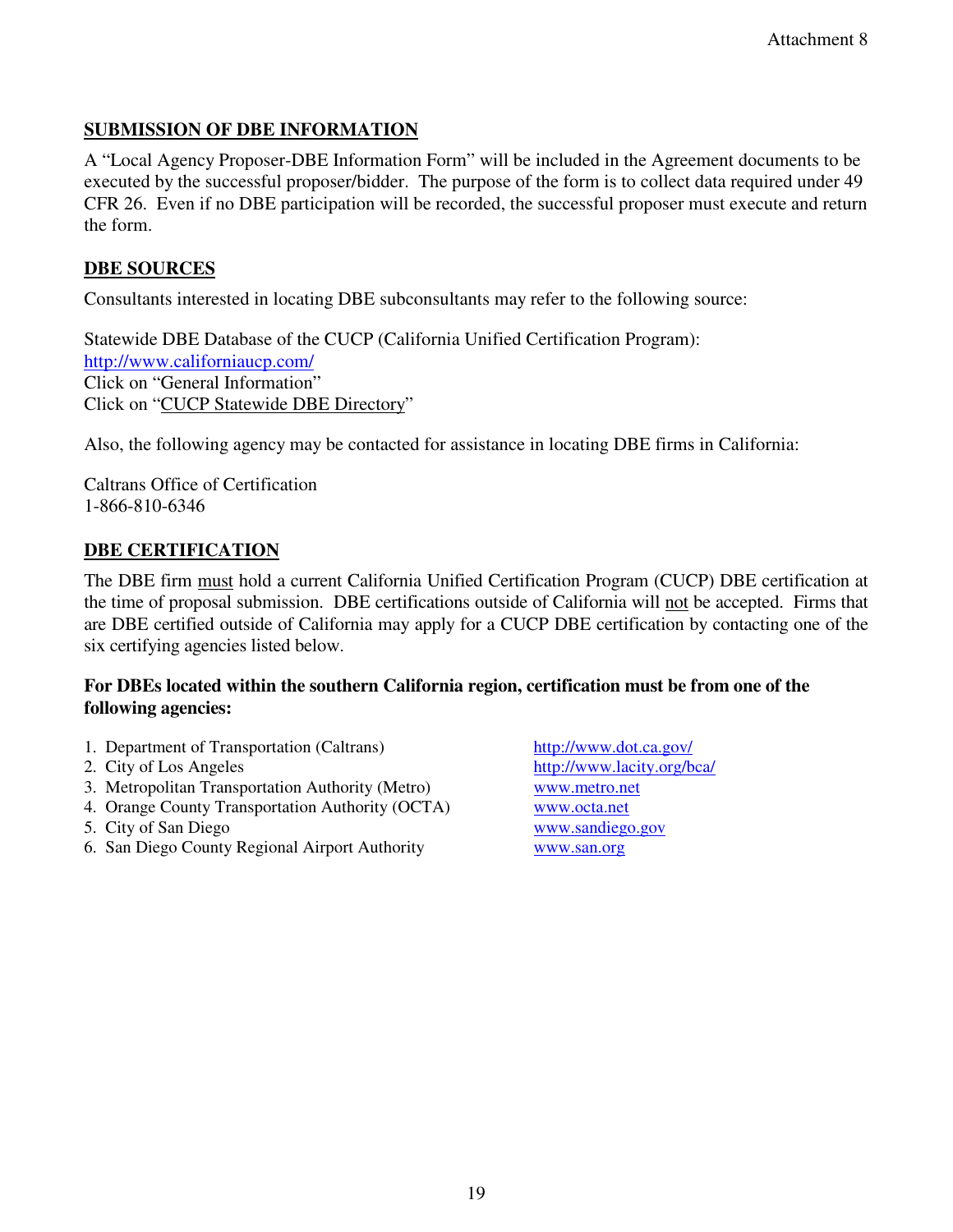# **SUBMISSION OF DBE INFORMATION**

A "Local Agency Proposer-DBE Information Form" will be included in the Agreement documents to be executed by the successful proposer/bidder. The purpose of the form is to collect data required under 49 CFR 26. Even if no DBE participation will be recorded, the successful proposer must execute and return the form.

# **DBE SOURCES**

Consultants interested in locating DBE subconsultants may refer to the following source:

Statewide DBE Database of the CUCP (California Unified Certification Program): http://www.californiaucp.com/ Click on "General Information" Click on "CUCP Statewide DBE Directory"

Also, the following agency may be contacted for assistance in locating DBE firms in California:

Caltrans Office of Certification 1-866-810-6346

# **DBE CERTIFICATION**

The DBE firm must hold a current California Unified Certification Program (CUCP) DBE certification at the time of proposal submission. DBE certifications outside of California will not be accepted. Firms that are DBE certified outside of California may apply for a CUCP DBE certification by contacting one of the six certifying agencies listed below.

### **For DBEs located within the southern California region, certification must be from one of the following agencies:**

- 1. Department of Transportation (Caltrans) http://www.dot.ca.gov/
- 
- 3. Metropolitan Transportation Authority (Metro) www.metro.net
- 4. Orange County Transportation Authority (OCTA) www.octa.net
- 5. City of San Diego www.sandiego.gov
- 6. San Diego County Regional Airport Authority www.san.org

2. City of Los Angeles http://www.lacity.org/bca/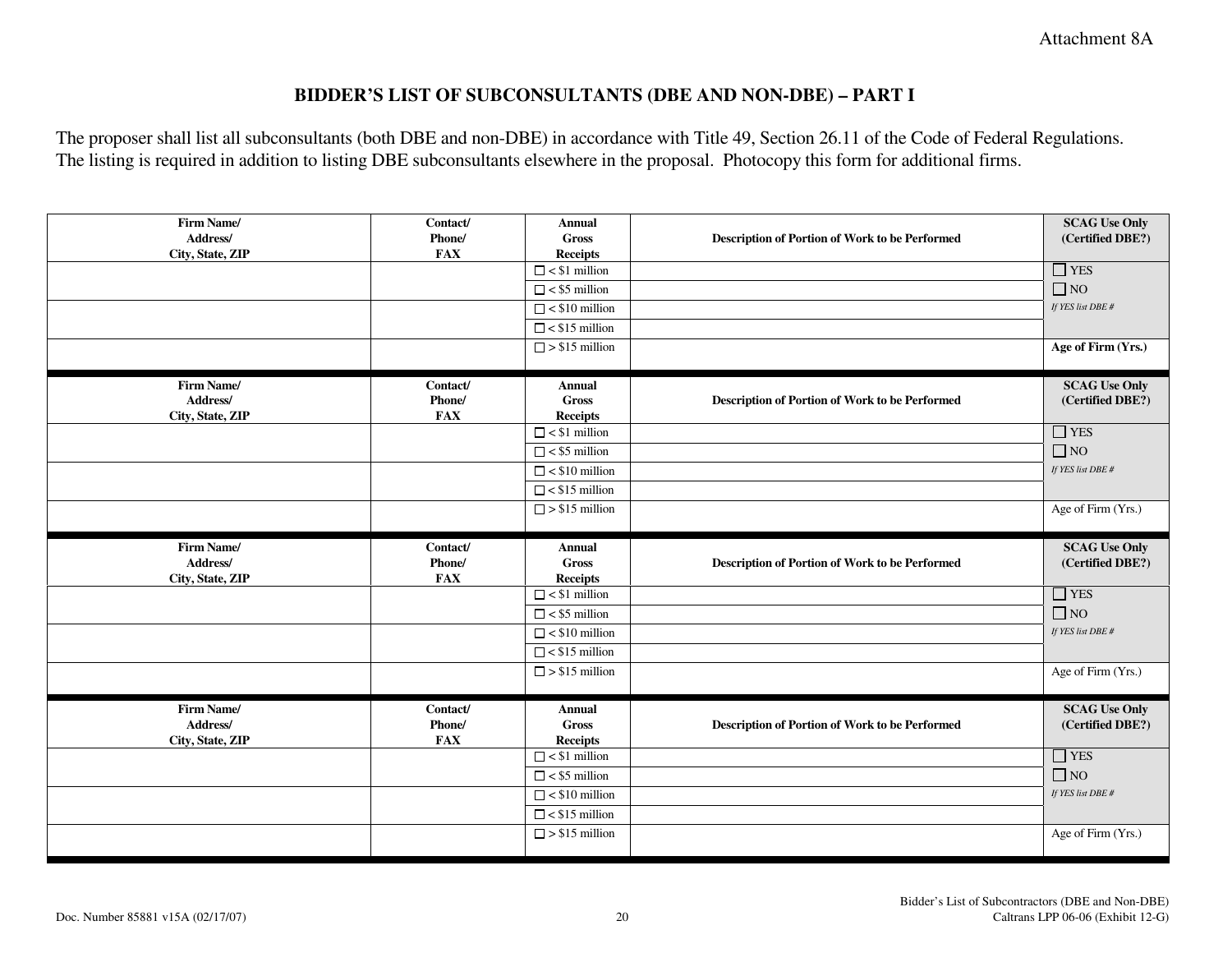Attachment 8A

#### **BIDDER'S LIST OF SUBCONSULTANTS (DBE AND NON-DBE) – PART I**

The proposer shall list all subconsultants (both DBE and non-DBE) in accordance with Title 49, Section 26.11 of the Code of Federal Regulations. The listing is required in addition to listing DBE subconsultants elsewhere in the proposal. Photocopy this form for additional firms.

| Firm Name/<br>Address/<br>City, State, ZIP | Contact/<br>Phone/<br><b>FAX</b> | <b>Annual</b><br><b>Gross</b><br><b>Receipts</b> | Description of Portion of Work to be Performed        | <b>SCAG Use Only</b><br>(Certified DBE?) |
|--------------------------------------------|----------------------------------|--------------------------------------------------|-------------------------------------------------------|------------------------------------------|
|                                            |                                  | $\Box$ < \$1 million                             |                                                       | $\Box$ YES                               |
|                                            |                                  | $\Box$ < \$5 million                             |                                                       | $\Box$ NO                                |
|                                            |                                  | $\Box$ < \$10 million                            |                                                       | If YES list DBE #                        |
|                                            |                                  | $\Box$ < \$15 million                            |                                                       |                                          |
|                                            |                                  | $\Box$ > \$15 million                            |                                                       | Age of Firm (Yrs.)                       |
| Firm Name/<br>Address/                     | Contact/<br>Phone/               | <b>Annual</b><br><b>Gross</b>                    | <b>Description of Portion of Work to be Performed</b> | <b>SCAG Use Only</b><br>(Certified DBE?) |
| City, State, ZIP                           | <b>FAX</b>                       | <b>Receipts</b><br>$\Box$ < \$1 million          |                                                       | $\Box$ YES                               |
|                                            |                                  | $\Box$ < \$5 million                             |                                                       | $\Box$ NO                                |
|                                            |                                  | $\Box$ < \$10 million                            |                                                       | If YES list DBE #                        |
|                                            |                                  | $\Box$ < \$15 million                            |                                                       |                                          |
|                                            |                                  | $\Box$ > \$15 million                            |                                                       | Age of Firm (Yrs.)                       |
|                                            |                                  |                                                  |                                                       |                                          |
|                                            |                                  |                                                  |                                                       |                                          |
| Firm Name/<br>Address/                     | Contact/<br>Phone/               | <b>Annual</b><br><b>Gross</b>                    | Description of Portion of Work to be Performed        | <b>SCAG Use Only</b><br>(Certified DBE?) |
| City, State, ZIP                           | <b>FAX</b>                       | <b>Receipts</b><br>$\Box$ < \$1 million          |                                                       |                                          |
|                                            |                                  | $\Box$ < \$5 million                             |                                                       | $\Box$ YES<br>$\Box$ NO                  |
|                                            |                                  | $\Box$ < \$10 million                            |                                                       | If YES list DBE #                        |
|                                            |                                  | $\Box$ < \$15 million                            |                                                       |                                          |
|                                            |                                  | $\Box$ > \$15 million                            |                                                       | Age of Firm (Yrs.)                       |
| Firm Name/                                 | Contact/                         | Annual                                           |                                                       | <b>SCAG Use Only</b>                     |
| Address/                                   | Phone/                           | <b>Gross</b>                                     | Description of Portion of Work to be Performed        | (Certified DBE?)                         |
| City, State, ZIP                           | <b>FAX</b>                       | <b>Receipts</b>                                  |                                                       |                                          |
|                                            |                                  | $\Box$ < \$1 million                             |                                                       | $\Box$ YES                               |
|                                            |                                  | $\Box$ < \$5 million                             |                                                       | $\Box$ NO                                |
|                                            |                                  | $\Box$ < \$10 million                            |                                                       | If YES list DBE #                        |
|                                            |                                  | $\Box$ < \$15 million<br>$\Box$ > \$15 million   |                                                       | Age of Firm (Yrs.)                       |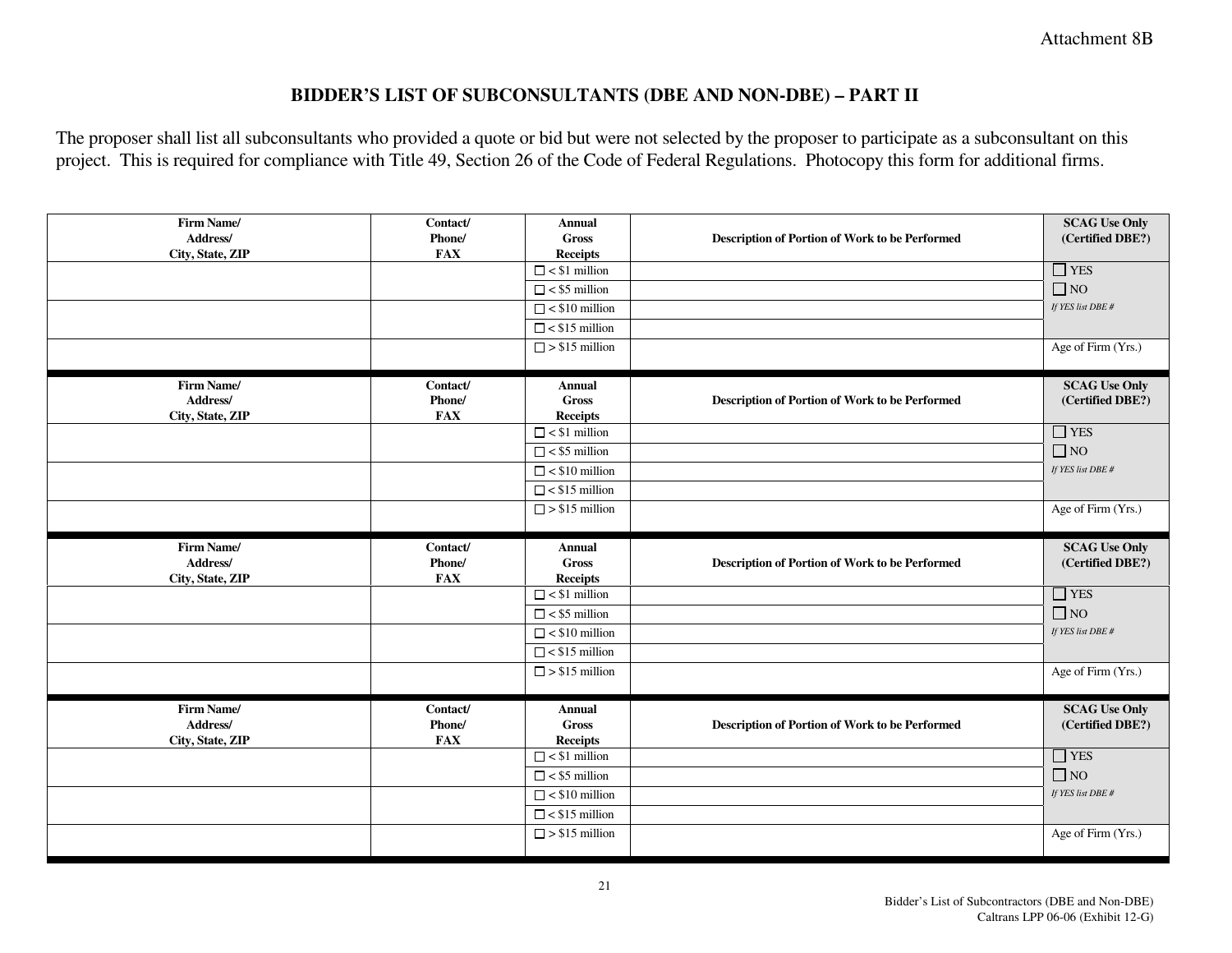#### **BIDDER'S LIST OF SUBCONSULTANTS (DBE AND NON-DBE) – PART II**

The proposer shall list all subconsultants who provided a quote or bid but were not selected by the proposer to participate as a subconsultant on this project. This is required for compliance with Title 49, Section 26 of the Code of Federal Regulations. Photocopy this form for additional firms.

| Firm Name/<br>Address/<br>City, State, ZIP | Contact/<br>Phone/<br><b>FAX</b> | <b>Annual</b><br><b>Gross</b><br><b>Receipts</b> | Description of Portion of Work to be Performed | <b>SCAG Use Only</b><br>(Certified DBE?) |
|--------------------------------------------|----------------------------------|--------------------------------------------------|------------------------------------------------|------------------------------------------|
|                                            |                                  | $\Box$ < \$1 million                             |                                                | $\hfill\Box$ YES                         |
|                                            |                                  | $\Box$ < \$5 million                             |                                                | $\Box$ NO                                |
|                                            |                                  | $\Box$ < \$10 million                            |                                                | If YES list DBE #                        |
|                                            |                                  | $\Box$ < \$15 million                            |                                                |                                          |
|                                            |                                  | $\Box$ > \$15 million                            |                                                | Age of Firm (Yrs.)                       |
| Firm Name/                                 | Contact/                         | Annual                                           |                                                | <b>SCAG Use Only</b>                     |
| Address/                                   | Phone/                           | <b>Gross</b>                                     | Description of Portion of Work to be Performed | (Certified DBE?)                         |
| City, State, ZIP                           | <b>FAX</b>                       | <b>Receipts</b><br>$\Box$ < \$1 million          |                                                | $\Box$ YES                               |
|                                            |                                  | $\Box$ < \$5 million                             |                                                | $\Box$ NO                                |
|                                            |                                  | $\Box$ < \$10 million                            |                                                | If YES list DBE #                        |
|                                            |                                  | $\Box$ < \$15 million                            |                                                |                                          |
|                                            |                                  | $\Box$ > \$15 million                            |                                                | Age of Firm (Yrs.)                       |
|                                            |                                  |                                                  |                                                |                                          |
|                                            |                                  |                                                  |                                                |                                          |
| Firm Name/                                 | Contact/                         | Annual                                           |                                                | <b>SCAG Use Only</b>                     |
| Address/                                   | Phone/                           | <b>Gross</b>                                     | Description of Portion of Work to be Performed | (Certified DBE?)                         |
| City, State, ZIP                           | <b>FAX</b>                       | <b>Receipts</b>                                  |                                                |                                          |
|                                            |                                  | $\Box$ < \$1 million                             |                                                | $\Box$ YES                               |
|                                            |                                  | $\Box$ < \$5 million                             |                                                | $\Box$ NO                                |
|                                            |                                  | $\Box$ < \$10 million                            |                                                | If YES list DBE #                        |
|                                            |                                  | $\Box$ < \$15 million                            |                                                |                                          |
|                                            |                                  | $\Box$ > \$15 million                            |                                                | Age of Firm (Yrs.)                       |
| Firm Name/                                 | Contact/                         | <b>Annual</b>                                    |                                                | <b>SCAG Use Only</b>                     |
| Address/                                   | Phone/                           | <b>Gross</b>                                     | Description of Portion of Work to be Performed | (Certified DBE?)                         |
| City, State, ZIP                           | <b>FAX</b>                       | <b>Receipts</b>                                  |                                                |                                          |
|                                            |                                  | $\Box$ < \$1 million                             |                                                | $\Box$ YES                               |
|                                            |                                  | $\Box$ < \$5 million                             |                                                | $\Box$ NO                                |
|                                            |                                  | $\Box$ < \$10 million                            |                                                | If YES list DBE #                        |
|                                            |                                  | $\Box$ < \$15 million<br>$\Box$ > \$15 million   |                                                | Age of Firm (Yrs.)                       |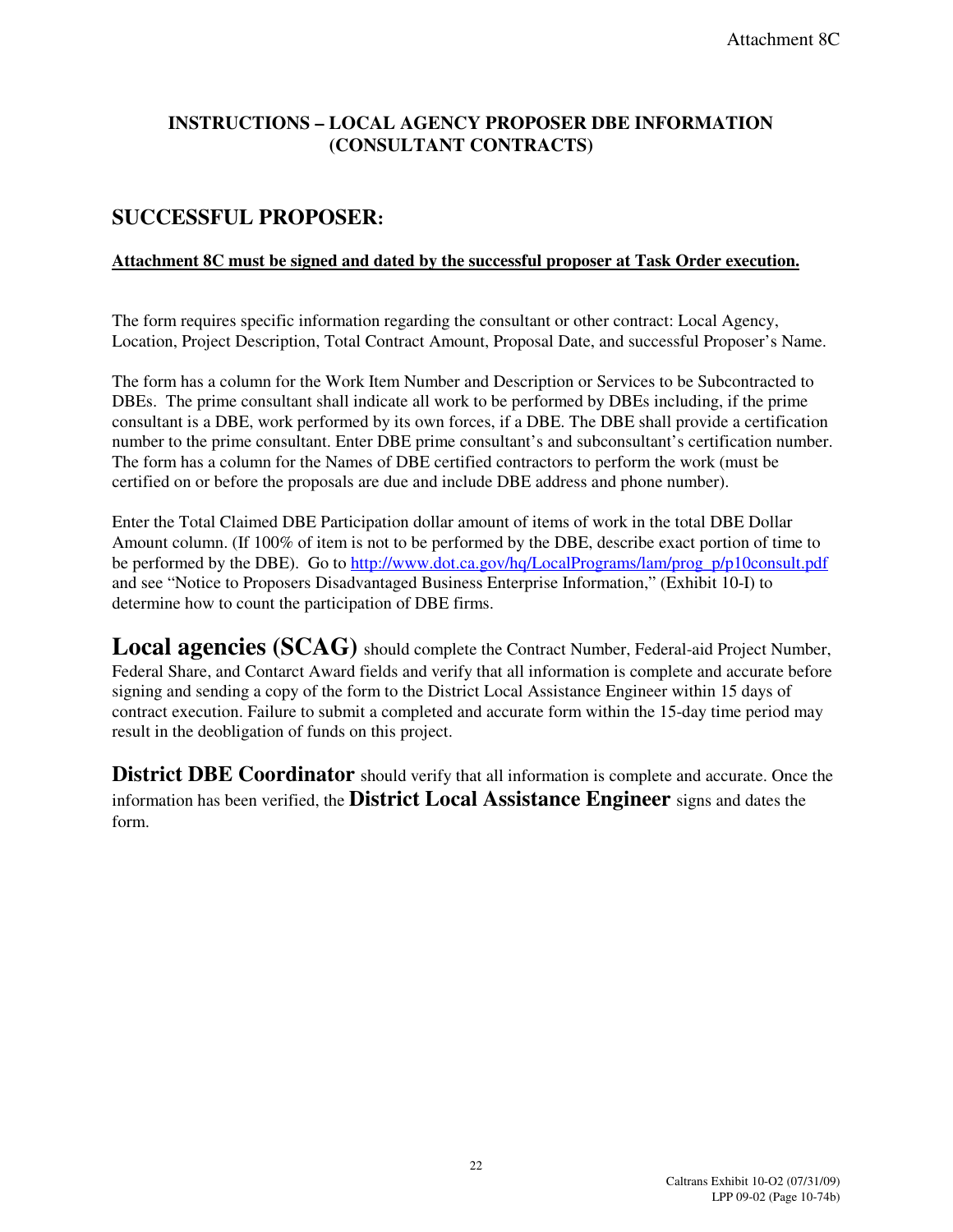# **INSTRUCTIONS – LOCAL AGENCY PROPOSER DBE INFORMATION (CONSULTANT CONTRACTS)**

# **SUCCESSFUL PROPOSER:**

#### **Attachment 8C must be signed and dated by the successful proposer at Task Order execution.**

The form requires specific information regarding the consultant or other contract: Local Agency, Location, Project Description, Total Contract Amount, Proposal Date, and successful Proposer's Name.

The form has a column for the Work Item Number and Description or Services to be Subcontracted to DBEs. The prime consultant shall indicate all work to be performed by DBEs including, if the prime consultant is a DBE, work performed by its own forces, if a DBE. The DBE shall provide a certification number to the prime consultant. Enter DBE prime consultant's and subconsultant's certification number. The form has a column for the Names of DBE certified contractors to perform the work (must be certified on or before the proposals are due and include DBE address and phone number).

Enter the Total Claimed DBE Participation dollar amount of items of work in the total DBE Dollar Amount column. (If 100% of item is not to be performed by the DBE, describe exact portion of time to be performed by the DBE). Go to http://www.dot.ca.gov/hq/LocalPrograms/lam/prog\_p/p10consult.pdf and see "Notice to Proposers Disadvantaged Business Enterprise Information," (Exhibit 10-I) to determine how to count the participation of DBE firms.

Local agencies (SCAG) should complete the Contract Number, Federal-aid Project Number, Federal Share, and Contarct Award fields and verify that all information is complete and accurate before signing and sending a copy of the form to the District Local Assistance Engineer within 15 days of contract execution. Failure to submit a completed and accurate form within the 15-day time period may result in the deobligation of funds on this project.

**District DBE Coordinator** should verify that all information is complete and accurate. Once the information has been verified, the **District Local Assistance Engineer** signs and dates the form.